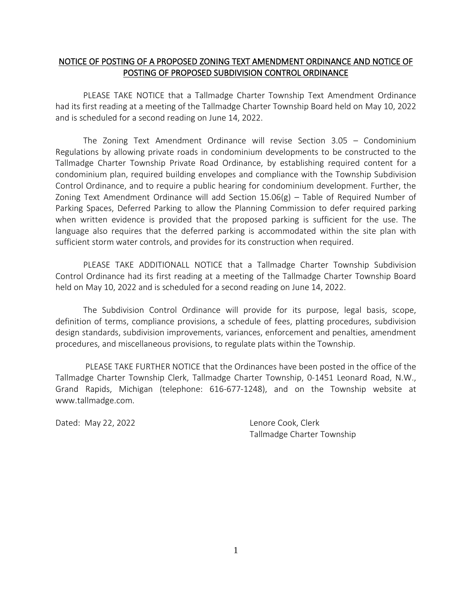## NOTICE OF POSTING OF A PROPOSED ZONING TEXT AMENDMENT ORDINANCE AND NOTICE OF POSTING OF PROPOSED SUBDIVISION CONTROL ORDINANCE

PLEASE TAKE NOTICE that a Tallmadge Charter Township Text Amendment Ordinance had its first reading at a meeting of the Tallmadge Charter Township Board held on May 10, 2022 and is scheduled for a second reading on June 14, 2022.

The Zoning Text Amendment Ordinance will revise Section 3.05 – Condominium Regulations by allowing private roads in condominium developments to be constructed to the Tallmadge Charter Township Private Road Ordinance, by establishing required content for a condominium plan, required building envelopes and compliance with the Township Subdivision Control Ordinance, and to require a public hearing for condominium development. Further, the Zoning Text Amendment Ordinance will add Section  $15.06(g)$  – Table of Required Number of Parking Spaces, Deferred Parking to allow the Planning Commission to defer required parking when written evidence is provided that the proposed parking is sufficient for the use. The language also requires that the deferred parking is accommodated within the site plan with sufficient storm water controls, and provides for its construction when required.

PLEASE TAKE ADDITIONALL NOTICE that a Tallmadge Charter Township Subdivision Control Ordinance had its first reading at a meeting of the Tallmadge Charter Township Board held on May 10, 2022 and is scheduled for a second reading on June 14, 2022.

The Subdivision Control Ordinance will provide for its purpose, legal basis, scope, definition of terms, compliance provisions, a schedule of fees, platting procedures, subdivision design standards, subdivision improvements, variances, enforcement and penalties, amendment procedures, and miscellaneous provisions, to regulate plats within the Township.

PLEASE TAKE FURTHER NOTICE that the Ordinances have been posted in the office of the Tallmadge Charter Township Clerk, Tallmadge Charter Township, 0-1451 Leonard Road, N.W., Grand Rapids, Michigan (telephone: 616-677-1248), and on the Township website at www.tallmadge.com.

Dated: May 22, 2022 **Lenore Cook, Clerk** 

Tallmadge Charter Township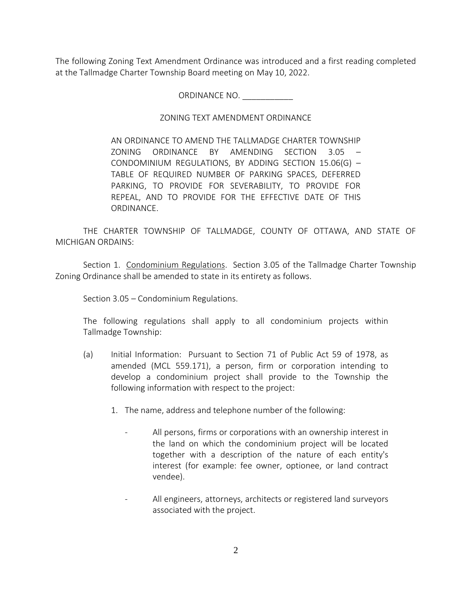The following Zoning Text Amendment Ordinance was introduced and a first reading completed at the Tallmadge Charter Township Board meeting on May 10, 2022.

ORDINANCE NO. \_\_\_\_\_\_\_\_\_\_\_

## ZONING TEXT AMENDMENT ORDINANCE

AN ORDINANCE TO AMEND THE TALLMADGE CHARTER TOWNSHIP ZONING ORDINANCE BY AMENDING SECTION 3.05 – CONDOMINIUM REGULATIONS, BY ADDING SECTION 15.06(G) – TABLE OF REQUIRED NUMBER OF PARKING SPACES, DEFERRED PARKING, TO PROVIDE FOR SEVERABILITY, TO PROVIDE FOR REPEAL, AND TO PROVIDE FOR THE EFFECTIVE DATE OF THIS ORDINANCE.

THE CHARTER TOWNSHIP OF TALLMADGE, COUNTY OF OTTAWA, AND STATE OF MICHIGAN ORDAINS:

Section 1. Condominium Regulations. Section 3.05 of the Tallmadge Charter Township Zoning Ordinance shall be amended to state in its entirety as follows.

Section 3.05 – Condominium Regulations.

The following regulations shall apply to all condominium projects within Tallmadge Township:

- (a) Initial Information: Pursuant to Section 71 of Public Act 59 of 1978, as amended (MCL 559.171), a person, firm or corporation intending to develop a condominium project shall provide to the Township the following information with respect to the project:
	- 1. The name, address and telephone number of the following:
		- All persons, firms or corporations with an ownership interest in the land on which the condominium project will be located together with a description of the nature of each entity's interest (for example: fee owner, optionee, or land contract vendee).
		- All engineers, attorneys, architects or registered land surveyors associated with the project.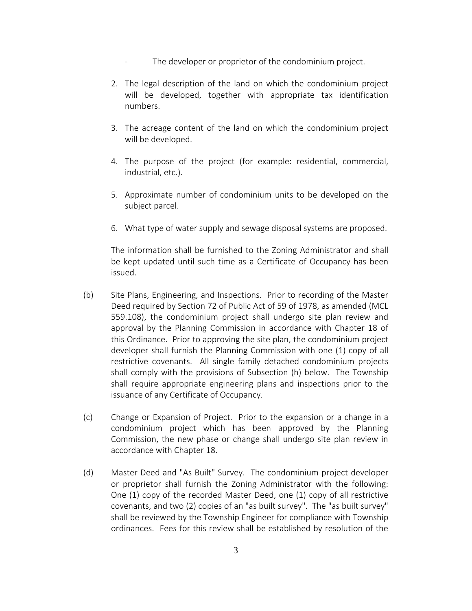- The developer or proprietor of the condominium project.
- 2. The legal description of the land on which the condominium project will be developed, together with appropriate tax identification numbers.
- 3. The acreage content of the land on which the condominium project will be developed.
- 4. The purpose of the project (for example: residential, commercial, industrial, etc.).
- 5. Approximate number of condominium units to be developed on the subject parcel.
- 6. What type of water supply and sewage disposal systems are proposed.

The information shall be furnished to the Zoning Administrator and shall be kept updated until such time as a Certificate of Occupancy has been issued.

- (b) Site Plans, Engineering, and Inspections. Prior to recording of the Master Deed required by Section 72 of Public Act of 59 of 1978, as amended (MCL 559.108), the condominium project shall undergo site plan review and approval by the Planning Commission in accordance with Chapter 18 of this Ordinance. Prior to approving the site plan, the condominium project developer shall furnish the Planning Commission with one (1) copy of all restrictive covenants. All single family detached condominium projects shall comply with the provisions of Subsection (h) below. The Township shall require appropriate engineering plans and inspections prior to the issuance of any Certificate of Occupancy.
- (c) Change or Expansion of Project. Prior to the expansion or a change in a condominium project which has been approved by the Planning Commission, the new phase or change shall undergo site plan review in accordance with Chapter 18.
- (d) Master Deed and "As Built" Survey. The condominium project developer or proprietor shall furnish the Zoning Administrator with the following: One (1) copy of the recorded Master Deed, one (1) copy of all restrictive covenants, and two (2) copies of an "as built survey". The "as built survey" shall be reviewed by the Township Engineer for compliance with Township ordinances. Fees for this review shall be established by resolution of the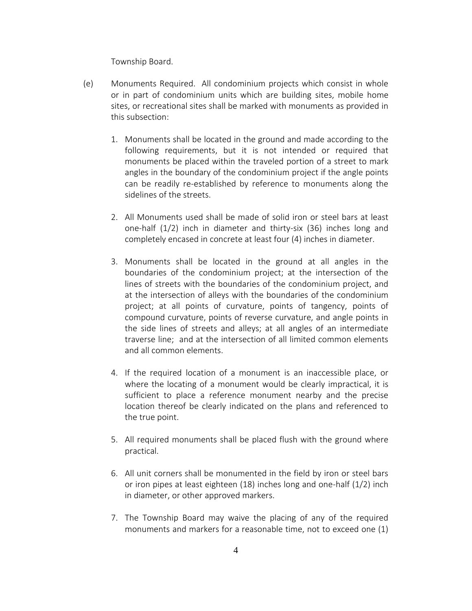Township Board.

- (e) Monuments Required. All condominium projects which consist in whole or in part of condominium units which are building sites, mobile home sites, or recreational sites shall be marked with monuments as provided in this subsection:
	- 1. Monuments shall be located in the ground and made according to the following requirements, but it is not intended or required that monuments be placed within the traveled portion of a street to mark angles in the boundary of the condominium project if the angle points can be readily re-established by reference to monuments along the sidelines of the streets.
	- 2. All Monuments used shall be made of solid iron or steel bars at least one-half (1/2) inch in diameter and thirty-six (36) inches long and completely encased in concrete at least four (4) inches in diameter.
	- 3. Monuments shall be located in the ground at all angles in the boundaries of the condominium project; at the intersection of the lines of streets with the boundaries of the condominium project, and at the intersection of alleys with the boundaries of the condominium project; at all points of curvature, points of tangency, points of compound curvature, points of reverse curvature, and angle points in the side lines of streets and alleys; at all angles of an intermediate traverse line; and at the intersection of all limited common elements and all common elements.
	- 4. If the required location of a monument is an inaccessible place, or where the locating of a monument would be clearly impractical, it is sufficient to place a reference monument nearby and the precise location thereof be clearly indicated on the plans and referenced to the true point.
	- 5. All required monuments shall be placed flush with the ground where practical.
	- 6. All unit corners shall be monumented in the field by iron or steel bars or iron pipes at least eighteen (18) inches long and one-half (1/2) inch in diameter, or other approved markers.
	- 7. The Township Board may waive the placing of any of the required monuments and markers for a reasonable time, not to exceed one (1)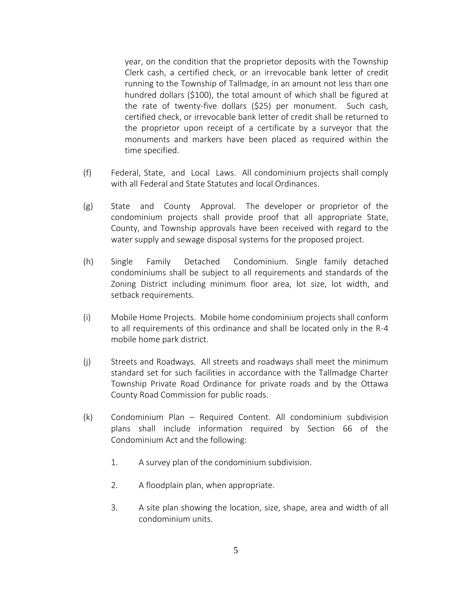year, on the condition that the proprietor deposits with the Township Clerk cash, a certified check, or an irrevocable bank letter of credit running to the Township of Tallmadge, in an amount not less than one hundred dollars (\$100), the total amount of which shall be figured at the rate of twenty-five dollars (\$25) per monument. Such cash, certified check, or irrevocable bank letter of credit shall be returned to the proprietor upon receipt of a certificate by a surveyor that the monuments and markers have been placed as required within the time specified.

- (f) Federal, State, and Local Laws. All condominium projects shall comply with all Federal and State Statutes and local Ordinances.
- (g) State and County Approval. The developer or proprietor of the condominium projects shall provide proof that all appropriate State, County, and Township approvals have been received with regard to the water supply and sewage disposal systems for the proposed project.
- (h) Single Family Detached Condominium. Single family detached condominiums shall be subject to all requirements and standards of the Zoning District including minimum floor area, lot size, lot width, and setback requirements.
- (i) Mobile Home Projects. Mobile home condominium projects shall conform to all requirements of this ordinance and shall be located only in the R-4 mobile home park district.
- (j) Streets and Roadways. All streets and roadways shall meet the minimum standard set for such facilities in accordance with the Tallmadge Charter Township Private Road Ordinance for private roads and by the Ottawa County Road Commission for public roads.
- (k) Condominium Plan Required Content. All condominium subdivision plans shall include information required by Section 66 of the Condominium Act and the following:
	- 1. A survey plan of the condominium subdivision.
	- 2. A floodplain plan, when appropriate.
	- 3. A site plan showing the location, size, shape, area and width of all condominium units.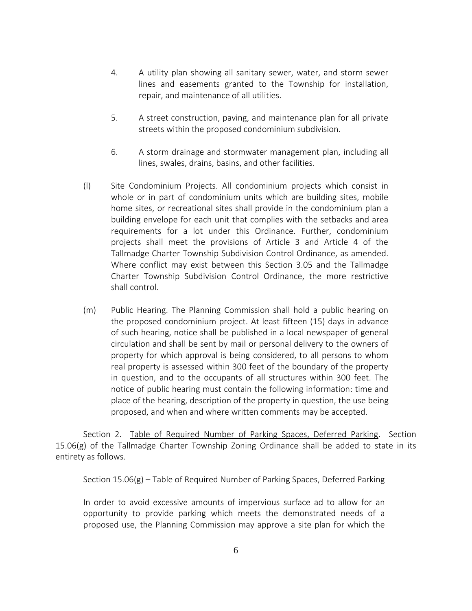- 4. A utility plan showing all sanitary sewer, water, and storm sewer lines and easements granted to the Township for installation, repair, and maintenance of all utilities.
- 5. A street construction, paving, and maintenance plan for all private streets within the proposed condominium subdivision.
- 6. A storm drainage and stormwater management plan, including all lines, swales, drains, basins, and other facilities.
- (l) Site Condominium Projects. All condominium projects which consist in whole or in part of condominium units which are building sites, mobile home sites, or recreational sites shall provide in the condominium plan a building envelope for each unit that complies with the setbacks and area requirements for a lot under this Ordinance. Further, condominium projects shall meet the provisions of Article 3 and Article 4 of the Tallmadge Charter Township Subdivision Control Ordinance, as amended. Where conflict may exist between this Section 3.05 and the Tallmadge Charter Township Subdivision Control Ordinance, the more restrictive shall control.
- (m) Public Hearing. The Planning Commission shall hold a public hearing on the proposed condominium project. At least fifteen (15) days in advance of such hearing, notice shall be published in a local newspaper of general circulation and shall be sent by mail or personal delivery to the owners of property for which approval is being considered, to all persons to whom real property is assessed within 300 feet of the boundary of the property in question, and to the occupants of all structures within 300 feet. The notice of public hearing must contain the following information: time and place of the hearing, description of the property in question, the use being proposed, and when and where written comments may be accepted.

Section 2. Table of Required Number of Parking Spaces, Deferred Parking. Section 15.06(g) of the Tallmadge Charter Township Zoning Ordinance shall be added to state in its entirety as follows.

Section 15.06(g) – Table of Required Number of Parking Spaces, Deferred Parking

In order to avoid excessive amounts of impervious surface ad to allow for an opportunity to provide parking which meets the demonstrated needs of a proposed use, the Planning Commission may approve a site plan for which the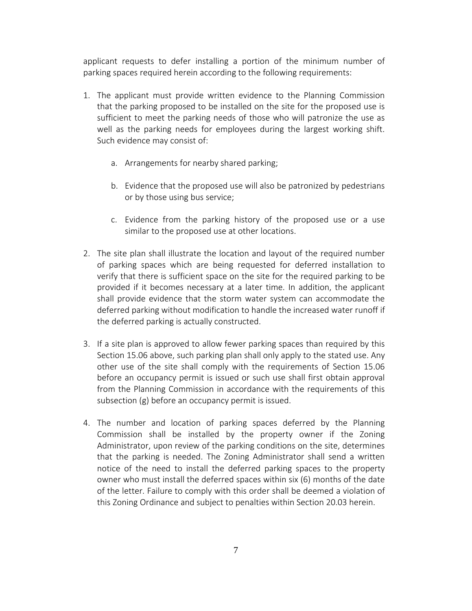applicant requests to defer installing a portion of the minimum number of parking spaces required herein according to the following requirements:

- 1. The applicant must provide written evidence to the Planning Commission that the parking proposed to be installed on the site for the proposed use is sufficient to meet the parking needs of those who will patronize the use as well as the parking needs for employees during the largest working shift. Such evidence may consist of:
	- a. Arrangements for nearby shared parking;
	- b. Evidence that the proposed use will also be patronized by pedestrians or by those using bus service;
	- c. Evidence from the parking history of the proposed use or a use similar to the proposed use at other locations.
- 2. The site plan shall illustrate the location and layout of the required number of parking spaces which are being requested for deferred installation to verify that there is sufficient space on the site for the required parking to be provided if it becomes necessary at a later time. In addition, the applicant shall provide evidence that the storm water system can accommodate the deferred parking without modification to handle the increased water runoff if the deferred parking is actually constructed.
- 3. If a site plan is approved to allow fewer parking spaces than required by this Section 15.06 above, such parking plan shall only apply to the stated use. Any other use of the site shall comply with the requirements of Section 15.06 before an occupancy permit is issued or such use shall first obtain approval from the Planning Commission in accordance with the requirements of this subsection (g) before an occupancy permit is issued.
- 4. The number and location of parking spaces deferred by the Planning Commission shall be installed by the property owner if the Zoning Administrator, upon review of the parking conditions on the site, determines that the parking is needed. The Zoning Administrator shall send a written notice of the need to install the deferred parking spaces to the property owner who must install the deferred spaces within six (6) months of the date of the letter. Failure to comply with this order shall be deemed a violation of this Zoning Ordinance and subject to penalties within Section 20.03 herein.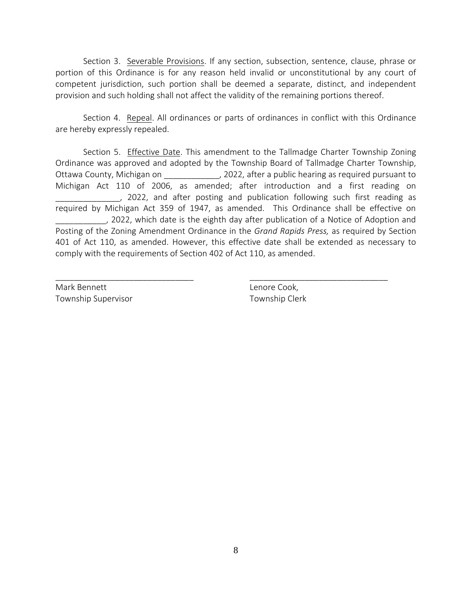Section 3. Severable Provisions. If any section, subsection, sentence, clause, phrase or portion of this Ordinance is for any reason held invalid or unconstitutional by any court of competent jurisdiction, such portion shall be deemed a separate, distinct, and independent provision and such holding shall not affect the validity of the remaining portions thereof.

Section 4. Repeal. All ordinances or parts of ordinances in conflict with this Ordinance are hereby expressly repealed.

Section 5. Effective Date. This amendment to the Tallmadge Charter Township Zoning Ordinance was approved and adopted by the Township Board of Tallmadge Charter Township, Ottawa County, Michigan on \_\_\_\_\_\_\_\_\_\_\_\_\_\_, 2022, after a public hearing as required pursuant to Michigan Act 110 of 2006, as amended; after introduction and a first reading on 2022, and after posting and publication following such first reading as required by Michigan Act 359 of 1947, as amended. This Ordinance shall be effective on \_\_\_\_\_\_\_\_\_\_\_, 2022, which date is the eighth day after publication of a Notice of Adoption and Posting of the Zoning Amendment Ordinance in the *Grand Rapids Press,* as required by Section 401 of Act 110, as amended. However, this effective date shall be extended as necessary to comply with the requirements of Section 402 of Act 110, as amended.

\_\_\_\_\_\_\_\_\_\_\_\_\_\_\_\_\_\_\_\_\_\_\_\_\_\_\_\_\_\_ \_\_\_\_\_\_\_\_\_\_\_\_\_\_\_\_\_\_\_\_\_\_\_\_\_\_\_\_\_\_

Mark Bennett **Lenore Cook**, Township Supervisor Township Clerk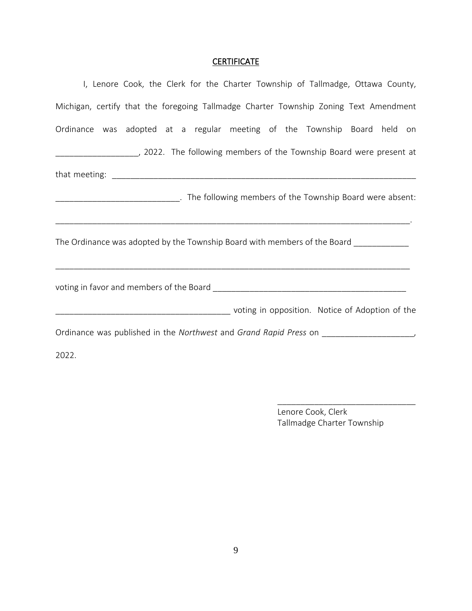# **CERTIFICATE**

| I, Lenore Cook, the Clerk for the Charter Township of Tallmadge, Ottawa County,                                                                          |  |  |  |  |  |
|----------------------------------------------------------------------------------------------------------------------------------------------------------|--|--|--|--|--|
| Michigan, certify that the foregoing Tallmadge Charter Township Zoning Text Amendment                                                                    |  |  |  |  |  |
| Ordinance was adopted at a regular meeting of the Township Board held on                                                                                 |  |  |  |  |  |
|                                                                                                                                                          |  |  |  |  |  |
|                                                                                                                                                          |  |  |  |  |  |
| _________________________________. The following members of the Township Board were absent:<br><u> 1989 - Johann John Stone, mensk politik (f. 1989)</u> |  |  |  |  |  |
| The Ordinance was adopted by the Township Board with members of the Board ___________                                                                    |  |  |  |  |  |
|                                                                                                                                                          |  |  |  |  |  |
|                                                                                                                                                          |  |  |  |  |  |
| Ordinance was published in the Northwest and Grand Rapid Press on ____________________                                                                   |  |  |  |  |  |
| 2022.                                                                                                                                                    |  |  |  |  |  |

Lenore Cook, Clerk Tallmadge Charter Township

\_\_\_\_\_\_\_\_\_\_\_\_\_\_\_\_\_\_\_\_\_\_\_\_\_\_\_\_\_\_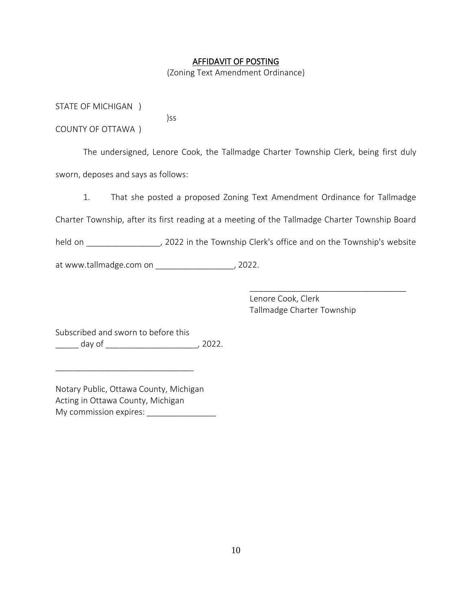#### AFFIDAVIT OF POSTING

(Zoning Text Amendment Ordinance)

STATE OF MICHIGAN )

COUNTY OF OTTAWA )

The undersigned, Lenore Cook, the Tallmadge Charter Township Clerk, being first duly sworn, deposes and says as follows:

1. That she posted a proposed Zoning Text Amendment Ordinance for Tallmadge

Charter Township, after its first reading at a meeting of the Tallmadge Charter Township Board

held on \_\_\_\_\_\_\_\_\_\_\_\_\_\_\_, 2022 in the Township Clerk's office and on the Township's website

at www.tallmadge.com on \_\_\_\_\_\_\_\_\_\_\_\_\_\_\_\_\_, 2022.

)ss

Lenore Cook, Clerk Tallmadge Charter Township

\_\_\_\_\_\_\_\_\_\_\_\_\_\_\_\_\_\_\_\_\_\_\_\_\_\_\_\_\_\_\_\_\_\_

Subscribed and sworn to before this \_\_\_\_\_ day of \_\_\_\_\_\_\_\_\_\_\_\_\_\_\_\_\_\_\_\_, 2022.

Notary Public, Ottawa County, Michigan Acting in Ottawa County, Michigan My commission expires: \_\_\_\_\_\_\_\_\_\_\_\_\_\_\_\_\_\_\_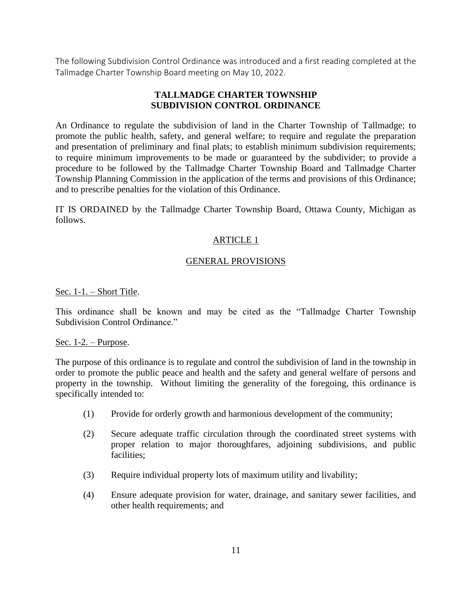The following Subdivision Control Ordinance was introduced and a first reading completed at the Tallmadge Charter Township Board meeting on May 10, 2022.

## **TALLMADGE CHARTER TOWNSHIP SUBDIVISION CONTROL ORDINANCE**

An Ordinance to regulate the subdivision of land in the Charter Township of Tallmadge; to promote the public health, safety, and general welfare; to require and regulate the preparation and presentation of preliminary and final plats; to establish minimum subdivision requirements; to require minimum improvements to be made or guaranteed by the subdivider; to provide a procedure to be followed by the Tallmadge Charter Township Board and Tallmadge Charter Township Planning Commission in the application of the terms and provisions of this Ordinance; and to prescribe penalties for the violation of this Ordinance.

IT IS ORDAINED by the Tallmadge Charter Township Board, Ottawa County, Michigan as follows.

## ARTICLE 1

## GENERAL PROVISIONS

#### Sec. 1-1. – Short Title.

This ordinance shall be known and may be cited as the "Tallmadge Charter Township Subdivision Control Ordinance."

#### Sec.  $1-2$ . – Purpose.

The purpose of this ordinance is to regulate and control the subdivision of land in the township in order to promote the public peace and health and the safety and general welfare of persons and property in the township. Without limiting the generality of the foregoing, this ordinance is specifically intended to:

- (1) Provide for orderly growth and harmonious development of the community;
- (2) Secure adequate traffic circulation through the coordinated street systems with proper relation to major thoroughfares, adjoining subdivisions, and public facilities;
- (3) Require individual property lots of maximum utility and livability;
- (4) Ensure adequate provision for water, drainage, and sanitary sewer facilities, and other health requirements; and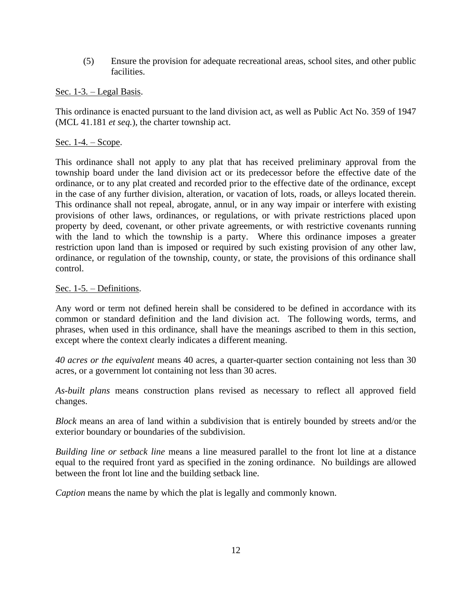(5) Ensure the provision for adequate recreational areas, school sites, and other public facilities.

## Sec. 1-3. – Legal Basis.

This ordinance is enacted pursuant to the land division act, as well as Public Act No. 359 of 1947 (MCL 41.181 *et seq.*), the charter township act.

## Sec. 1-4. – Scope.

This ordinance shall not apply to any plat that has received preliminary approval from the township board under the land division act or its predecessor before the effective date of the ordinance, or to any plat created and recorded prior to the effective date of the ordinance, except in the case of any further division, alteration, or vacation of lots, roads, or alleys located therein. This ordinance shall not repeal, abrogate, annul, or in any way impair or interfere with existing provisions of other laws, ordinances, or regulations, or with private restrictions placed upon property by deed, covenant, or other private agreements, or with restrictive covenants running with the land to which the township is a party. Where this ordinance imposes a greater restriction upon land than is imposed or required by such existing provision of any other law, ordinance, or regulation of the township, county, or state, the provisions of this ordinance shall control.

## Sec. 1-5. – Definitions.

Any word or term not defined herein shall be considered to be defined in accordance with its common or standard definition and the land division act. The following words, terms, and phrases, when used in this ordinance, shall have the meanings ascribed to them in this section, except where the context clearly indicates a different meaning.

*40 acres or the equivalent* means 40 acres, a quarter-quarter section containing not less than 30 acres, or a government lot containing not less than 30 acres.

*As-built plans* means construction plans revised as necessary to reflect all approved field changes.

*Block* means an area of land within a subdivision that is entirely bounded by streets and/or the exterior boundary or boundaries of the subdivision.

*Building line or setback line* means a line measured parallel to the front lot line at a distance equal to the required front yard as specified in the zoning ordinance. No buildings are allowed between the front lot line and the building setback line.

*Caption* means the name by which the plat is legally and commonly known.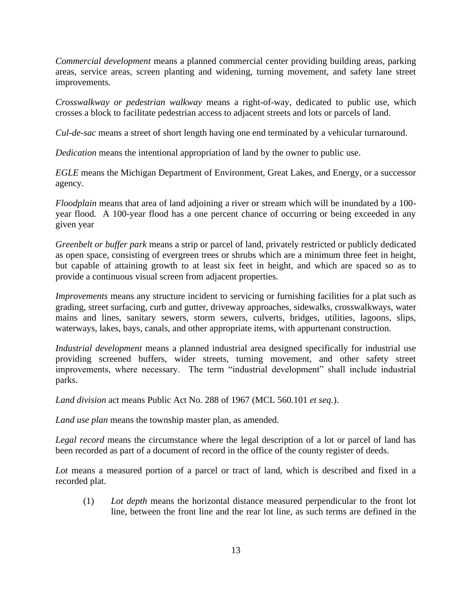*Commercial development* means a planned commercial center providing building areas, parking areas, service areas, screen planting and widening, turning movement, and safety lane street improvements.

*Crosswalkway or pedestrian walkway* means a right-of-way, dedicated to public use, which crosses a block to facilitate pedestrian access to adjacent streets and lots or parcels of land.

*Cul-de-sac* means a street of short length having one end terminated by a vehicular turnaround.

*Dedication* means the intentional appropriation of land by the owner to public use.

*EGLE* means the Michigan Department of Environment, Great Lakes, and Energy, or a successor agency.

*Floodplain* means that area of land adjoining a river or stream which will be inundated by a 100 year flood. A 100-year flood has a one percent chance of occurring or being exceeded in any given year

*Greenbelt or buffer park* means a strip or parcel of land, privately restricted or publicly dedicated as open space, consisting of evergreen trees or shrubs which are a minimum three feet in height, but capable of attaining growth to at least six feet in height, and which are spaced so as to provide a continuous visual screen from adjacent properties.

*Improvements* means any structure incident to servicing or furnishing facilities for a plat such as grading, street surfacing, curb and gutter, driveway approaches, sidewalks, crosswalkways, water mains and lines, sanitary sewers, storm sewers, culverts, bridges, utilities, lagoons, slips, waterways, lakes, bays, canals, and other appropriate items, with appurtenant construction.

*Industrial development* means a planned industrial area designed specifically for industrial use providing screened buffers, wider streets, turning movement, and other safety street improvements, where necessary. The term "industrial development" shall include industrial parks.

*Land division* act means Public Act No. 288 of 1967 (MCL 560.101 *et seq.*).

*Land use plan* means the township master plan, as amended.

*Legal record* means the circumstance where the legal description of a lot or parcel of land has been recorded as part of a document of record in the office of the county register of deeds.

*Lot* means a measured portion of a parcel or tract of land, which is described and fixed in a recorded plat.

(1) *Lot depth* means the horizontal distance measured perpendicular to the front lot line, between the front line and the rear lot line, as such terms are defined in the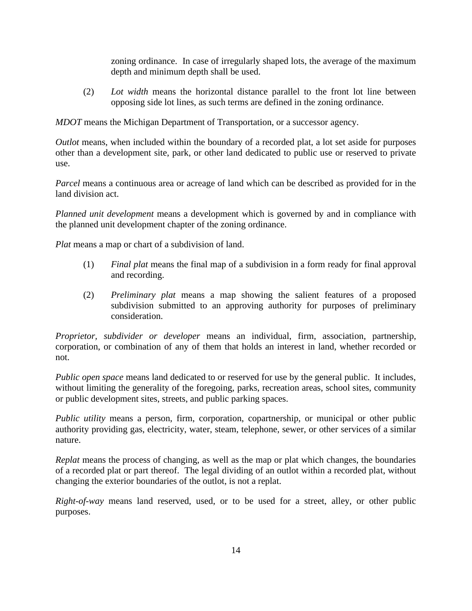zoning ordinance. In case of irregularly shaped lots, the average of the maximum depth and minimum depth shall be used.

(2) *Lot width* means the horizontal distance parallel to the front lot line between opposing side lot lines, as such terms are defined in the zoning ordinance.

*MDOT* means the Michigan Department of Transportation, or a successor agency.

*Outlot* means, when included within the boundary of a recorded plat, a lot set aside for purposes other than a development site, park, or other land dedicated to public use or reserved to private use.

*Parcel* means a continuous area or acreage of land which can be described as provided for in the land division act.

*Planned unit development* means a development which is governed by and in compliance with the planned unit development chapter of the zoning ordinance.

*Plat* means a map or chart of a subdivision of land.

- (1) *Final plat* means the final map of a subdivision in a form ready for final approval and recording.
- (2) *Preliminary plat* means a map showing the salient features of a proposed subdivision submitted to an approving authority for purposes of preliminary consideration.

*Proprietor, subdivider or developer* means an individual, firm, association, partnership, corporation, or combination of any of them that holds an interest in land, whether recorded or not.

*Public open space* means land dedicated to or reserved for use by the general public. It includes, without limiting the generality of the foregoing, parks, recreation areas, school sites, community or public development sites, streets, and public parking spaces.

*Public utility* means a person, firm, corporation, copartnership, or municipal or other public authority providing gas, electricity, water, steam, telephone, sewer, or other services of a similar nature.

*Replat* means the process of changing, as well as the map or plat which changes, the boundaries of a recorded plat or part thereof. The legal dividing of an outlot within a recorded plat, without changing the exterior boundaries of the outlot, is not a replat.

*Right-of-way* means land reserved, used, or to be used for a street, alley, or other public purposes.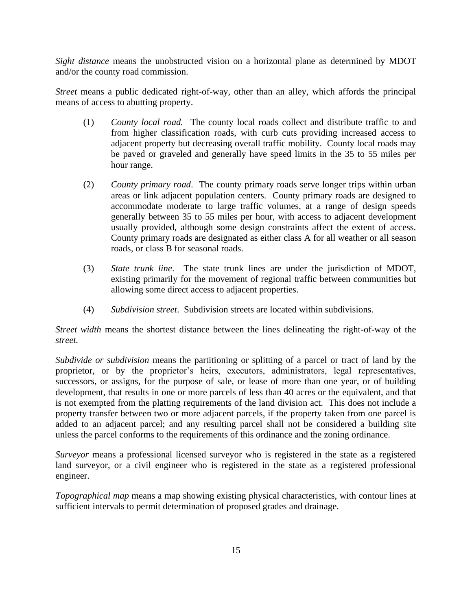*Sight distance* means the unobstructed vision on a horizontal plane as determined by MDOT and/or the county road commission.

*Street* means a public dedicated right-of-way, other than an alley, which affords the principal means of access to abutting property.

- (1) *County local road.* The county local roads collect and distribute traffic to and from higher classification roads, with curb cuts providing increased access to adjacent property but decreasing overall traffic mobility. County local roads may be paved or graveled and generally have speed limits in the 35 to 55 miles per hour range.
- (2) *County primary road*. The county primary roads serve longer trips within urban areas or link adjacent population centers. County primary roads are designed to accommodate moderate to large traffic volumes, at a range of design speeds generally between 35 to 55 miles per hour, with access to adjacent development usually provided, although some design constraints affect the extent of access. County primary roads are designated as either class A for all weather or all season roads, or class B for seasonal roads.
- (3) *State trunk line*. The state trunk lines are under the jurisdiction of MDOT, existing primarily for the movement of regional traffic between communities but allowing some direct access to adjacent properties.
- (4) *Subdivision street*. Subdivision streets are located within subdivisions.

*Street width* means the shortest distance between the lines delineating the right-of-way of the *street.*

*Subdivide or subdivision* means the partitioning or splitting of a parcel or tract of land by the proprietor, or by the proprietor's heirs, executors, administrators, legal representatives, successors, or assigns, for the purpose of sale, or lease of more than one year, or of building development, that results in one or more parcels of less than 40 acres or the equivalent, and that is not exempted from the platting requirements of the land division act. This does not include a property transfer between two or more adjacent parcels, if the property taken from one parcel is added to an adjacent parcel; and any resulting parcel shall not be considered a building site unless the parcel conforms to the requirements of this ordinance and the zoning ordinance.

*Surveyor* means a professional licensed surveyor who is registered in the state as a registered land surveyor, or a civil engineer who is registered in the state as a registered professional engineer.

*Topographical map* means a map showing existing physical characteristics, with contour lines at sufficient intervals to permit determination of proposed grades and drainage.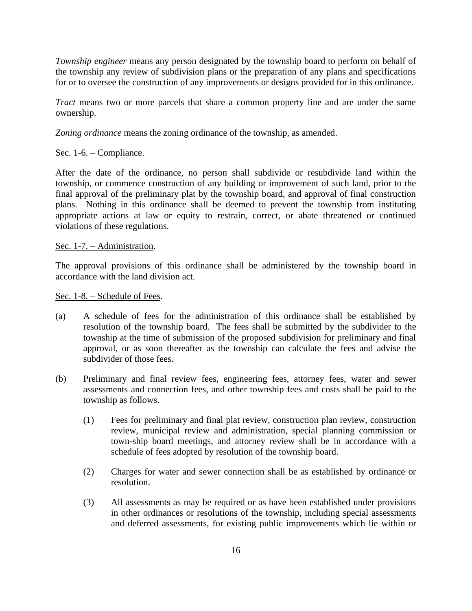*Township engineer* means any person designated by the township board to perform on behalf of the township any review of subdivision plans or the preparation of any plans and specifications for or to oversee the construction of any improvements or designs provided for in this ordinance.

*Tract* means two or more parcels that share a common property line and are under the same ownership.

*Zoning ordinance* means the zoning ordinance of the township, as amended.

### Sec. 1-6. – Compliance.

After the date of the ordinance, no person shall subdivide or resubdivide land within the township, or commence construction of any building or improvement of such land, prior to the final approval of the preliminary plat by the township board, and approval of final construction plans. Nothing in this ordinance shall be deemed to prevent the township from instituting appropriate actions at law or equity to restrain, correct, or abate threatened or continued violations of these regulations.

### Sec. 1-7. – Administration.

The approval provisions of this ordinance shall be administered by the township board in accordance with the land division act.

#### Sec. 1-8. – Schedule of Fees.

- (a) A schedule of fees for the administration of this ordinance shall be established by resolution of the township board. The fees shall be submitted by the subdivider to the township at the time of submission of the proposed subdivision for preliminary and final approval, or as soon thereafter as the township can calculate the fees and advise the subdivider of those fees.
- (b) Preliminary and final review fees, engineering fees, attorney fees, water and sewer assessments and connection fees, and other township fees and costs shall be paid to the township as follows.
	- (1) Fees for preliminary and final plat review, construction plan review, construction review, municipal review and administration, special planning commission or town-ship board meetings, and attorney review shall be in accordance with a schedule of fees adopted by resolution of the township board.
	- (2) Charges for water and sewer connection shall be as established by ordinance or resolution.
	- (3) All assessments as may be required or as have been established under provisions in other ordinances or resolutions of the township, including special assessments and deferred assessments, for existing public improvements which lie within or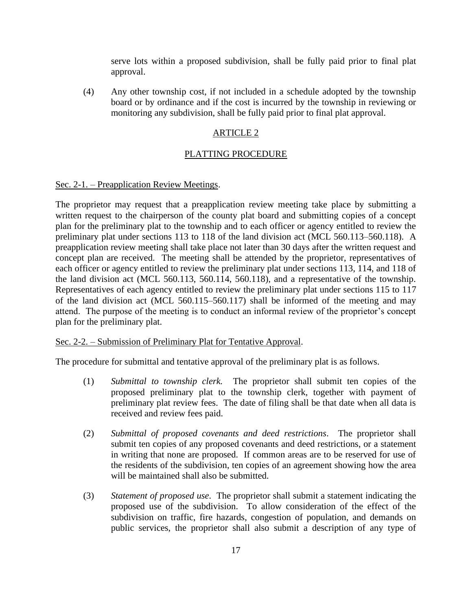serve lots within a proposed subdivision, shall be fully paid prior to final plat approval.

(4) Any other township cost, if not included in a schedule adopted by the township board or by ordinance and if the cost is incurred by the township in reviewing or monitoring any subdivision, shall be fully paid prior to final plat approval.

## ARTICLE 2

### PLATTING PROCEDURE

### Sec. 2-1. – Preapplication Review Meetings.

The proprietor may request that a preapplication review meeting take place by submitting a written request to the chairperson of the county plat board and submitting copies of a concept plan for the preliminary plat to the township and to each officer or agency entitled to review the preliminary plat under sections 113 to 118 of the land division act (MCL 560.113–560.118). A preapplication review meeting shall take place not later than 30 days after the written request and concept plan are received. The meeting shall be attended by the proprietor, representatives of each officer or agency entitled to review the preliminary plat under sections 113, 114, and 118 of the land division act (MCL 560.113, 560.114, 560.118), and a representative of the township. Representatives of each agency entitled to review the preliminary plat under sections 115 to 117 of the land division act (MCL 560.115–560.117) shall be informed of the meeting and may attend. The purpose of the meeting is to conduct an informal review of the proprietor's concept plan for the preliminary plat.

### Sec. 2-2. – Submission of Preliminary Plat for Tentative Approval.

The procedure for submittal and tentative approval of the preliminary plat is as follows.

- (1) *Submittal to township clerk.* The proprietor shall submit ten copies of the proposed preliminary plat to the township clerk, together with payment of preliminary plat review fees. The date of filing shall be that date when all data is received and review fees paid.
- (2) *Submittal of proposed covenants and deed restrictions*. The proprietor shall submit ten copies of any proposed covenants and deed restrictions, or a statement in writing that none are proposed. If common areas are to be reserved for use of the residents of the subdivision, ten copies of an agreement showing how the area will be maintained shall also be submitted.
- (3) *Statement of proposed use*. The proprietor shall submit a statement indicating the proposed use of the subdivision. To allow consideration of the effect of the subdivision on traffic, fire hazards, congestion of population, and demands on public services, the proprietor shall also submit a description of any type of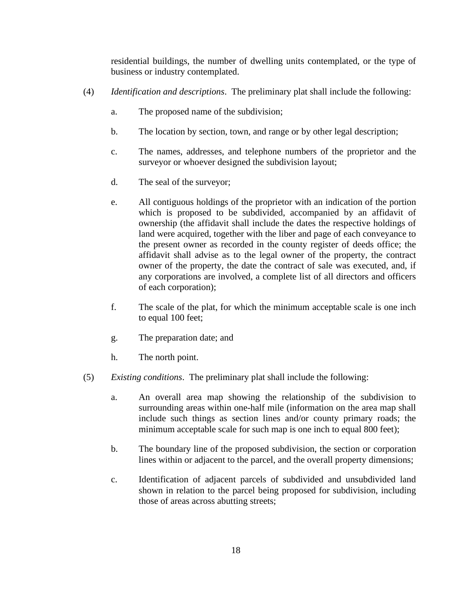residential buildings, the number of dwelling units contemplated, or the type of business or industry contemplated.

- (4) *Identification and descriptions*. The preliminary plat shall include the following:
	- a. The proposed name of the subdivision;
	- b. The location by section, town, and range or by other legal description;
	- c. The names, addresses, and telephone numbers of the proprietor and the surveyor or whoever designed the subdivision layout;
	- d. The seal of the surveyor;
	- e. All contiguous holdings of the proprietor with an indication of the portion which is proposed to be subdivided, accompanied by an affidavit of ownership (the affidavit shall include the dates the respective holdings of land were acquired, together with the liber and page of each conveyance to the present owner as recorded in the county register of deeds office; the affidavit shall advise as to the legal owner of the property, the contract owner of the property, the date the contract of sale was executed, and, if any corporations are involved, a complete list of all directors and officers of each corporation);
	- f. The scale of the plat, for which the minimum acceptable scale is one inch to equal 100 feet;
	- g. The preparation date; and
	- h. The north point.
- (5) *Existing conditions*. The preliminary plat shall include the following:
	- a. An overall area map showing the relationship of the subdivision to surrounding areas within one-half mile (information on the area map shall include such things as section lines and/or county primary roads; the minimum acceptable scale for such map is one inch to equal 800 feet);
	- b. The boundary line of the proposed subdivision, the section or corporation lines within or adjacent to the parcel, and the overall property dimensions;
	- c. Identification of adjacent parcels of subdivided and unsubdivided land shown in relation to the parcel being proposed for subdivision, including those of areas across abutting streets;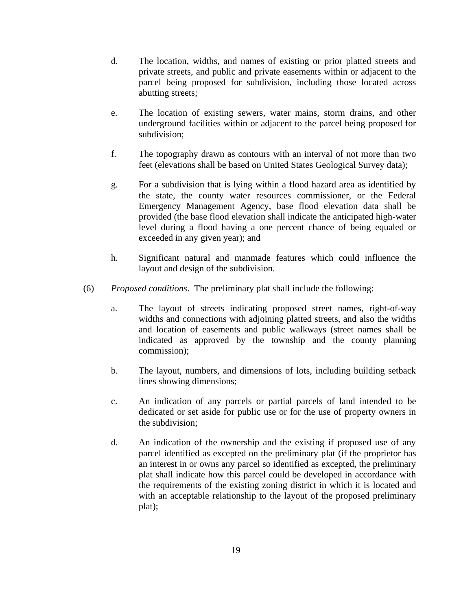- d. The location, widths, and names of existing or prior platted streets and private streets, and public and private easements within or adjacent to the parcel being proposed for subdivision, including those located across abutting streets;
- e. The location of existing sewers, water mains, storm drains, and other underground facilities within or adjacent to the parcel being proposed for subdivision;
- f. The topography drawn as contours with an interval of not more than two feet (elevations shall be based on United States Geological Survey data);
- g. For a subdivision that is lying within a flood hazard area as identified by the state, the county water resources commissioner, or the Federal Emergency Management Agency, base flood elevation data shall be provided (the base flood elevation shall indicate the anticipated high-water level during a flood having a one percent chance of being equaled or exceeded in any given year); and
- h. Significant natural and manmade features which could influence the layout and design of the subdivision.
- (6) *Proposed conditions*. The preliminary plat shall include the following:
	- a. The layout of streets indicating proposed street names, right-of-way widths and connections with adjoining platted streets, and also the widths and location of easements and public walkways (street names shall be indicated as approved by the township and the county planning commission);
	- b. The layout, numbers, and dimensions of lots, including building setback lines showing dimensions;
	- c. An indication of any parcels or partial parcels of land intended to be dedicated or set aside for public use or for the use of property owners in the subdivision;
	- d. An indication of the ownership and the existing if proposed use of any parcel identified as excepted on the preliminary plat (if the proprietor has an interest in or owns any parcel so identified as excepted, the preliminary plat shall indicate how this parcel could be developed in accordance with the requirements of the existing zoning district in which it is located and with an acceptable relationship to the layout of the proposed preliminary plat);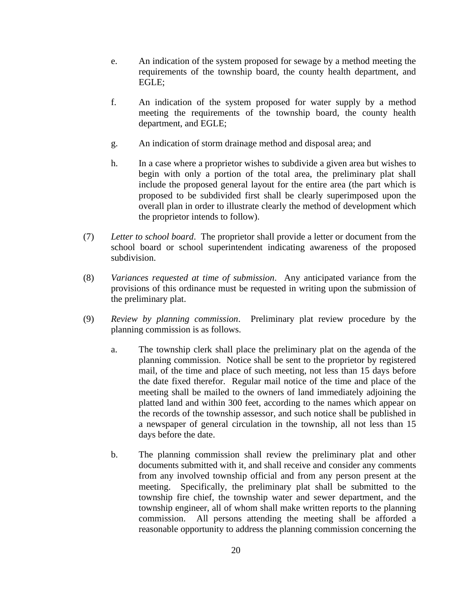- e. An indication of the system proposed for sewage by a method meeting the requirements of the township board, the county health department, and EGLE;
- f. An indication of the system proposed for water supply by a method meeting the requirements of the township board, the county health department, and EGLE;
- g. An indication of storm drainage method and disposal area; and
- h. In a case where a proprietor wishes to subdivide a given area but wishes to begin with only a portion of the total area, the preliminary plat shall include the proposed general layout for the entire area (the part which is proposed to be subdivided first shall be clearly superimposed upon the overall plan in order to illustrate clearly the method of development which the proprietor intends to follow).
- (7) *Letter to school board*. The proprietor shall provide a letter or document from the school board or school superintendent indicating awareness of the proposed subdivision.
- (8) *Variances requested at time of submission*. Any anticipated variance from the provisions of this ordinance must be requested in writing upon the submission of the preliminary plat.
- (9) *Review by planning commission*. Preliminary plat review procedure by the planning commission is as follows.
	- a. The township clerk shall place the preliminary plat on the agenda of the planning commission. Notice shall be sent to the proprietor by registered mail, of the time and place of such meeting, not less than 15 days before the date fixed therefor. Regular mail notice of the time and place of the meeting shall be mailed to the owners of land immediately adjoining the platted land and within 300 feet, according to the names which appear on the records of the township assessor, and such notice shall be published in a newspaper of general circulation in the township, all not less than 15 days before the date.
	- b. The planning commission shall review the preliminary plat and other documents submitted with it, and shall receive and consider any comments from any involved township official and from any person present at the meeting. Specifically, the preliminary plat shall be submitted to the township fire chief, the township water and sewer department, and the township engineer, all of whom shall make written reports to the planning commission. All persons attending the meeting shall be afforded a reasonable opportunity to address the planning commission concerning the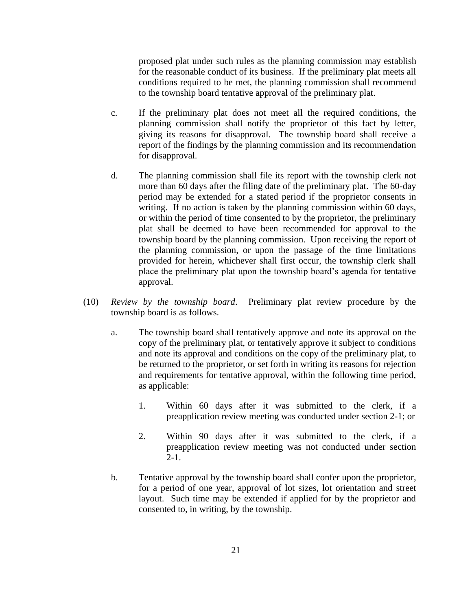proposed plat under such rules as the planning commission may establish for the reasonable conduct of its business. If the preliminary plat meets all conditions required to be met, the planning commission shall recommend to the township board tentative approval of the preliminary plat.

- c. If the preliminary plat does not meet all the required conditions, the planning commission shall notify the proprietor of this fact by letter, giving its reasons for disapproval. The township board shall receive a report of the findings by the planning commission and its recommendation for disapproval.
- d. The planning commission shall file its report with the township clerk not more than 60 days after the filing date of the preliminary plat. The 60-day period may be extended for a stated period if the proprietor consents in writing. If no action is taken by the planning commission within 60 days, or within the period of time consented to by the proprietor, the preliminary plat shall be deemed to have been recommended for approval to the township board by the planning commission. Upon receiving the report of the planning commission, or upon the passage of the time limitations provided for herein, whichever shall first occur, the township clerk shall place the preliminary plat upon the township board's agenda for tentative approval.
- (10) *Review by the township board*. Preliminary plat review procedure by the township board is as follows.
	- a. The township board shall tentatively approve and note its approval on the copy of the preliminary plat, or tentatively approve it subject to conditions and note its approval and conditions on the copy of the preliminary plat, to be returned to the proprietor, or set forth in writing its reasons for rejection and requirements for tentative approval, within the following time period, as applicable:
		- 1. Within 60 days after it was submitted to the clerk, if a preapplication review meeting was conducted under section 2-1; or
		- 2. Within 90 days after it was submitted to the clerk, if a preapplication review meeting was not conducted under section  $2-1.$
	- b. Tentative approval by the township board shall confer upon the proprietor, for a period of one year, approval of lot sizes, lot orientation and street layout. Such time may be extended if applied for by the proprietor and consented to, in writing, by the township.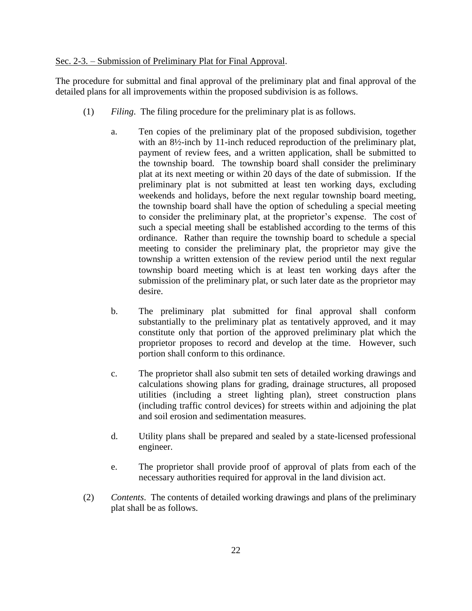### Sec. 2-3. – Submission of Preliminary Plat for Final Approval.

The procedure for submittal and final approval of the preliminary plat and final approval of the detailed plans for all improvements within the proposed subdivision is as follows.

- (1) *Filing*. The filing procedure for the preliminary plat is as follows.
	- a. Ten copies of the preliminary plat of the proposed subdivision, together with an  $8\frac{1}{2}$ -inch by 11-inch reduced reproduction of the preliminary plat, payment of review fees, and a written application, shall be submitted to the township board. The township board shall consider the preliminary plat at its next meeting or within 20 days of the date of submission. If the preliminary plat is not submitted at least ten working days, excluding weekends and holidays, before the next regular township board meeting, the township board shall have the option of scheduling a special meeting to consider the preliminary plat, at the proprietor's expense. The cost of such a special meeting shall be established according to the terms of this ordinance. Rather than require the township board to schedule a special meeting to consider the preliminary plat, the proprietor may give the township a written extension of the review period until the next regular township board meeting which is at least ten working days after the submission of the preliminary plat, or such later date as the proprietor may desire.
	- b. The preliminary plat submitted for final approval shall conform substantially to the preliminary plat as tentatively approved, and it may constitute only that portion of the approved preliminary plat which the proprietor proposes to record and develop at the time. However, such portion shall conform to this ordinance.
	- c. The proprietor shall also submit ten sets of detailed working drawings and calculations showing plans for grading, drainage structures, all proposed utilities (including a street lighting plan), street construction plans (including traffic control devices) for streets within and adjoining the plat and soil erosion and sedimentation measures.
	- d. Utility plans shall be prepared and sealed by a state-licensed professional engineer.
	- e. The proprietor shall provide proof of approval of plats from each of the necessary authorities required for approval in the land division act.
- (2) *Contents*. The contents of detailed working drawings and plans of the preliminary plat shall be as follows.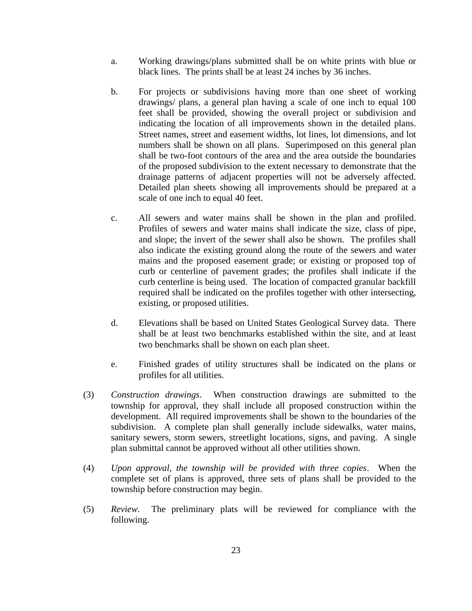- a. Working drawings/plans submitted shall be on white prints with blue or black lines. The prints shall be at least 24 inches by 36 inches.
- b. For projects or subdivisions having more than one sheet of working drawings/ plans, a general plan having a scale of one inch to equal 100 feet shall be provided, showing the overall project or subdivision and indicating the location of all improvements shown in the detailed plans. Street names, street and easement widths, lot lines, lot dimensions, and lot numbers shall be shown on all plans. Superimposed on this general plan shall be two-foot contours of the area and the area outside the boundaries of the proposed subdivision to the extent necessary to demonstrate that the drainage patterns of adjacent properties will not be adversely affected. Detailed plan sheets showing all improvements should be prepared at a scale of one inch to equal 40 feet.
- c. All sewers and water mains shall be shown in the plan and profiled. Profiles of sewers and water mains shall indicate the size, class of pipe, and slope; the invert of the sewer shall also be shown. The profiles shall also indicate the existing ground along the route of the sewers and water mains and the proposed easement grade; or existing or proposed top of curb or centerline of pavement grades; the profiles shall indicate if the curb centerline is being used. The location of compacted granular backfill required shall be indicated on the profiles together with other intersecting, existing, or proposed utilities.
- d. Elevations shall be based on United States Geological Survey data. There shall be at least two benchmarks established within the site, and at least two benchmarks shall be shown on each plan sheet.
- e. Finished grades of utility structures shall be indicated on the plans or profiles for all utilities.
- (3) *Construction drawings*. When construction drawings are submitted to the township for approval, they shall include all proposed construction within the development. All required improvements shall be shown to the boundaries of the subdivision. A complete plan shall generally include sidewalks, water mains, sanitary sewers, storm sewers, streetlight locations, signs, and paving. A single plan submittal cannot be approved without all other utilities shown.
- (4) *Upon approval, the township will be provided with three copies*. When the complete set of plans is approved, three sets of plans shall be provided to the township before construction may begin.
- (5) *Review*. The preliminary plats will be reviewed for compliance with the following.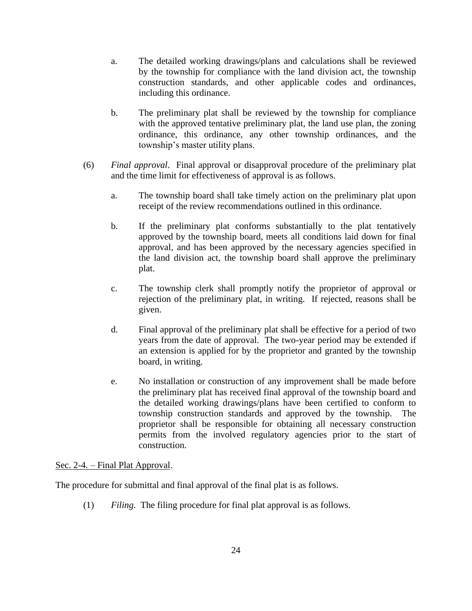- a. The detailed working drawings/plans and calculations shall be reviewed by the township for compliance with the land division act, the township construction standards, and other applicable codes and ordinances, including this ordinance.
- b. The preliminary plat shall be reviewed by the township for compliance with the approved tentative preliminary plat, the land use plan, the zoning ordinance, this ordinance, any other township ordinances, and the township's master utility plans.
- (6) *Final approval*. Final approval or disapproval procedure of the preliminary plat and the time limit for effectiveness of approval is as follows.
	- a. The township board shall take timely action on the preliminary plat upon receipt of the review recommendations outlined in this ordinance.
	- b. If the preliminary plat conforms substantially to the plat tentatively approved by the township board, meets all conditions laid down for final approval, and has been approved by the necessary agencies specified in the land division act, the township board shall approve the preliminary plat.
	- c. The township clerk shall promptly notify the proprietor of approval or rejection of the preliminary plat, in writing. If rejected, reasons shall be given.
	- d. Final approval of the preliminary plat shall be effective for a period of two years from the date of approval. The two-year period may be extended if an extension is applied for by the proprietor and granted by the township board, in writing.
	- e. No installation or construction of any improvement shall be made before the preliminary plat has received final approval of the township board and the detailed working drawings/plans have been certified to conform to township construction standards and approved by the township. The proprietor shall be responsible for obtaining all necessary construction permits from the involved regulatory agencies prior to the start of construction.

## Sec. 2-4. – Final Plat Approval.

The procedure for submittal and final approval of the final plat is as follows.

(1) *Filing*. The filing procedure for final plat approval is as follows.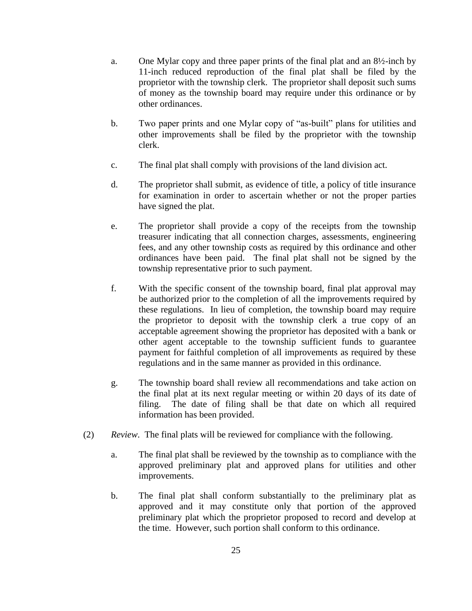- a. One Mylar copy and three paper prints of the final plat and an  $8\frac{1}{2}$ -inch by 11-inch reduced reproduction of the final plat shall be filed by the proprietor with the township clerk. The proprietor shall deposit such sums of money as the township board may require under this ordinance or by other ordinances.
- b. Two paper prints and one Mylar copy of "as-built" plans for utilities and other improvements shall be filed by the proprietor with the township clerk.
- c. The final plat shall comply with provisions of the land division act.
- d. The proprietor shall submit, as evidence of title, a policy of title insurance for examination in order to ascertain whether or not the proper parties have signed the plat.
- e. The proprietor shall provide a copy of the receipts from the township treasurer indicating that all connection charges, assessments, engineering fees, and any other township costs as required by this ordinance and other ordinances have been paid. The final plat shall not be signed by the township representative prior to such payment.
- f. With the specific consent of the township board, final plat approval may be authorized prior to the completion of all the improvements required by these regulations. In lieu of completion, the township board may require the proprietor to deposit with the township clerk a true copy of an acceptable agreement showing the proprietor has deposited with a bank or other agent acceptable to the township sufficient funds to guarantee payment for faithful completion of all improvements as required by these regulations and in the same manner as provided in this ordinance.
- g. The township board shall review all recommendations and take action on the final plat at its next regular meeting or within 20 days of its date of filing. The date of filing shall be that date on which all required information has been provided.
- (2) *Review*. The final plats will be reviewed for compliance with the following.
	- a. The final plat shall be reviewed by the township as to compliance with the approved preliminary plat and approved plans for utilities and other improvements.
	- b. The final plat shall conform substantially to the preliminary plat as approved and it may constitute only that portion of the approved preliminary plat which the proprietor proposed to record and develop at the time. However, such portion shall conform to this ordinance.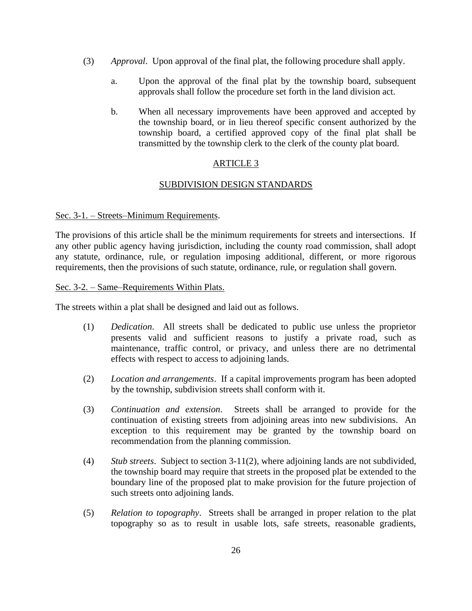- (3) *Approval*. Upon approval of the final plat, the following procedure shall apply.
	- a. Upon the approval of the final plat by the township board, subsequent approvals shall follow the procedure set forth in the land division act.
	- b. When all necessary improvements have been approved and accepted by the township board, or in lieu thereof specific consent authorized by the township board, a certified approved copy of the final plat shall be transmitted by the township clerk to the clerk of the county plat board.

## ARTICLE 3

## SUBDIVISION DESIGN STANDARDS

### Sec. 3-1. – Streets–Minimum Requirements.

The provisions of this article shall be the minimum requirements for streets and intersections. If any other public agency having jurisdiction, including the county road commission, shall adopt any statute, ordinance, rule, or regulation imposing additional, different, or more rigorous requirements, then the provisions of such statute, ordinance, rule, or regulation shall govern.

### Sec. 3-2. – Same–Requirements Within Plats.

The streets within a plat shall be designed and laid out as follows.

- (1) *Dedication*. All streets shall be dedicated to public use unless the proprietor presents valid and sufficient reasons to justify a private road, such as maintenance, traffic control, or privacy, and unless there are no detrimental effects with respect to access to adjoining lands.
- (2) *Location and arrangements*. If a capital improvements program has been adopted by the township, subdivision streets shall conform with it.
- (3) *Continuation and extension*. Streets shall be arranged to provide for the continuation of existing streets from adjoining areas into new subdivisions. An exception to this requirement may be granted by the township board on recommendation from the planning commission.
- (4) *Stub streets*. Subject to section 3-11(2), where adjoining lands are not subdivided, the township board may require that streets in the proposed plat be extended to the boundary line of the proposed plat to make provision for the future projection of such streets onto adjoining lands.
- (5) *Relation to topography*. Streets shall be arranged in proper relation to the plat topography so as to result in usable lots, safe streets, reasonable gradients,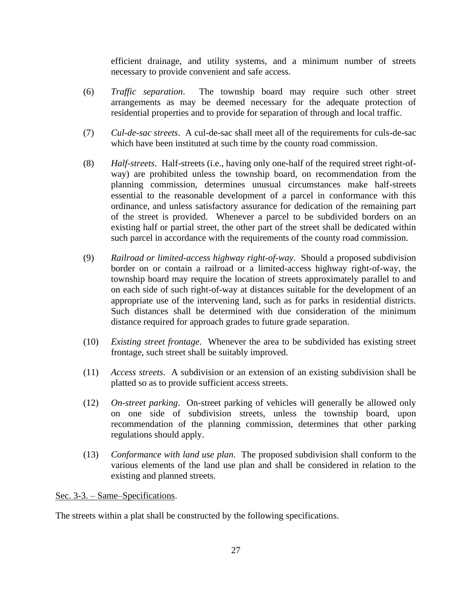efficient drainage, and utility systems, and a minimum number of streets necessary to provide convenient and safe access.

- (6) *Traffic separation*. The township board may require such other street arrangements as may be deemed necessary for the adequate protection of residential properties and to provide for separation of through and local traffic.
- (7) *Cul-de-sac streets*. A cul-de-sac shall meet all of the requirements for culs-de-sac which have been instituted at such time by the county road commission.
- (8) *Half-streets*. Half-streets (i.e., having only one-half of the required street right-ofway) are prohibited unless the township board, on recommendation from the planning commission, determines unusual circumstances make half-streets essential to the reasonable development of a parcel in conformance with this ordinance, and unless satisfactory assurance for dedication of the remaining part of the street is provided. Whenever a parcel to be subdivided borders on an existing half or partial street, the other part of the street shall be dedicated within such parcel in accordance with the requirements of the county road commission.
- (9) *Railroad or limited-access highway right-of-way*. Should a proposed subdivision border on or contain a railroad or a limited-access highway right-of-way, the township board may require the location of streets approximately parallel to and on each side of such right-of-way at distances suitable for the development of an appropriate use of the intervening land, such as for parks in residential districts. Such distances shall be determined with due consideration of the minimum distance required for approach grades to future grade separation.
- (10) *Existing street frontage*. Whenever the area to be subdivided has existing street frontage, such street shall be suitably improved.
- (11) *Access streets*. A subdivision or an extension of an existing subdivision shall be platted so as to provide sufficient access streets.
- (12) *On-street parking*. On-street parking of vehicles will generally be allowed only on one side of subdivision streets, unless the township board, upon recommendation of the planning commission, determines that other parking regulations should apply.
- (13) *Conformance with land use plan*. The proposed subdivision shall conform to the various elements of the land use plan and shall be considered in relation to the existing and planned streets.

Sec. 3-3. – Same–Specifications.

The streets within a plat shall be constructed by the following specifications.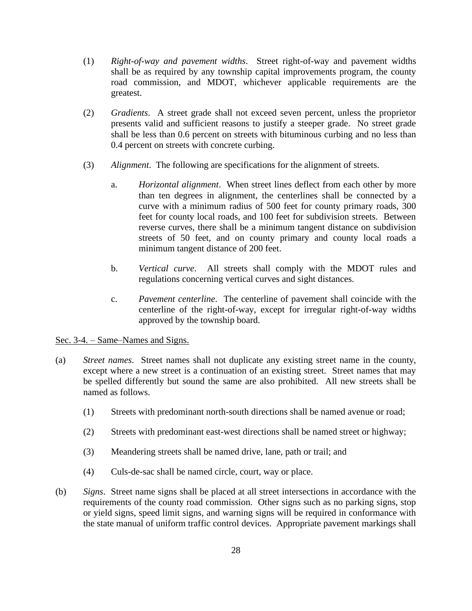- (1) *Right-of-way and pavement widths*. Street right-of-way and pavement widths shall be as required by any township capital improvements program, the county road commission, and MDOT, whichever applicable requirements are the greatest.
- (2) *Gradients*. A street grade shall not exceed seven percent, unless the proprietor presents valid and sufficient reasons to justify a steeper grade. No street grade shall be less than 0.6 percent on streets with bituminous curbing and no less than 0.4 percent on streets with concrete curbing.
- (3) *Alignment*. The following are specifications for the alignment of streets.
	- a. *Horizontal alignment*. When street lines deflect from each other by more than ten degrees in alignment, the centerlines shall be connected by a curve with a minimum radius of 500 feet for county primary roads, 300 feet for county local roads, and 100 feet for subdivision streets. Between reverse curves, there shall be a minimum tangent distance on subdivision streets of 50 feet, and on county primary and county local roads a minimum tangent distance of 200 feet.
	- b. *Vertical curve*. All streets shall comply with the MDOT rules and regulations concerning vertical curves and sight distances.
	- c. *Pavement centerline*. The centerline of pavement shall coincide with the centerline of the right-of-way, except for irregular right-of-way widths approved by the township board.

## Sec. 3-4. – Same–Names and Signs.

- (a) *Street names*. Street names shall not duplicate any existing street name in the county, except where a new street is a continuation of an existing street. Street names that may be spelled differently but sound the same are also prohibited. All new streets shall be named as follows.
	- (1) Streets with predominant north-south directions shall be named avenue or road;
	- (2) Streets with predominant east-west directions shall be named street or highway;
	- (3) Meandering streets shall be named drive, lane, path or trail; and
	- (4) Culs-de-sac shall be named circle, court, way or place.
- (b) *Signs*. Street name signs shall be placed at all street intersections in accordance with the requirements of the county road commission. Other signs such as no parking signs, stop or yield signs, speed limit signs, and warning signs will be required in conformance with the state manual of uniform traffic control devices. Appropriate pavement markings shall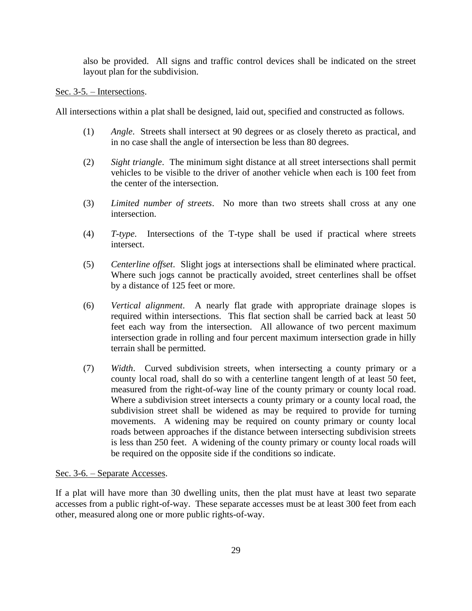also be provided. All signs and traffic control devices shall be indicated on the street layout plan for the subdivision.

#### Sec. 3-5. – Intersections.

All intersections within a plat shall be designed, laid out, specified and constructed as follows.

- (1) *Angle*. Streets shall intersect at 90 degrees or as closely thereto as practical, and in no case shall the angle of intersection be less than 80 degrees.
- (2) *Sight triangle*. The minimum sight distance at all street intersections shall permit vehicles to be visible to the driver of another vehicle when each is 100 feet from the center of the intersection.
- (3) *Limited number of streets*. No more than two streets shall cross at any one intersection.
- (4) *T-type*. Intersections of the T-type shall be used if practical where streets intersect.
- (5) *Centerline offset*. Slight jogs at intersections shall be eliminated where practical. Where such jogs cannot be practically avoided, street centerlines shall be offset by a distance of 125 feet or more.
- (6) *Vertical alignment*. A nearly flat grade with appropriate drainage slopes is required within intersections. This flat section shall be carried back at least 50 feet each way from the intersection. All allowance of two percent maximum intersection grade in rolling and four percent maximum intersection grade in hilly terrain shall be permitted.
- (7) *Width*. Curved subdivision streets, when intersecting a county primary or a county local road, shall do so with a centerline tangent length of at least 50 feet, measured from the right-of-way line of the county primary or county local road. Where a subdivision street intersects a county primary or a county local road, the subdivision street shall be widened as may be required to provide for turning movements. A widening may be required on county primary or county local roads between approaches if the distance between intersecting subdivision streets is less than 250 feet. A widening of the county primary or county local roads will be required on the opposite side if the conditions so indicate.

#### Sec. 3-6. – Separate Accesses.

If a plat will have more than 30 dwelling units, then the plat must have at least two separate accesses from a public right-of-way. These separate accesses must be at least 300 feet from each other, measured along one or more public rights-of-way.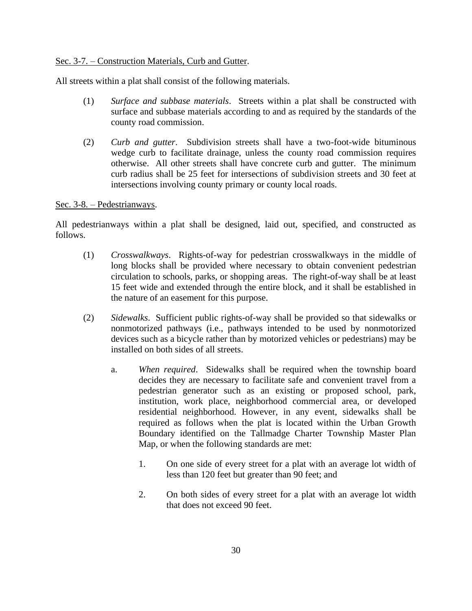## Sec. 3-7. – Construction Materials, Curb and Gutter.

All streets within a plat shall consist of the following materials.

- (1) *Surface and subbase materials*. Streets within a plat shall be constructed with surface and subbase materials according to and as required by the standards of the county road commission.
- (2) *Curb and gutter*. Subdivision streets shall have a two-foot-wide bituminous wedge curb to facilitate drainage, unless the county road commission requires otherwise. All other streets shall have concrete curb and gutter. The minimum curb radius shall be 25 feet for intersections of subdivision streets and 30 feet at intersections involving county primary or county local roads.

#### Sec. 3-8. – Pedestrianways.

All pedestrianways within a plat shall be designed, laid out, specified, and constructed as follows.

- (1) *Crosswalkways*. Rights-of-way for pedestrian crosswalkways in the middle of long blocks shall be provided where necessary to obtain convenient pedestrian circulation to schools, parks, or shopping areas. The right-of-way shall be at least 15 feet wide and extended through the entire block, and it shall be established in the nature of an easement for this purpose.
- (2) *Sidewalks*. Sufficient public rights-of-way shall be provided so that sidewalks or nonmotorized pathways (i.e., pathways intended to be used by nonmotorized devices such as a bicycle rather than by motorized vehicles or pedestrians) may be installed on both sides of all streets.
	- a. *When required*. Sidewalks shall be required when the township board decides they are necessary to facilitate safe and convenient travel from a pedestrian generator such as an existing or proposed school, park, institution, work place, neighborhood commercial area, or developed residential neighborhood. However, in any event, sidewalks shall be required as follows when the plat is located within the Urban Growth Boundary identified on the Tallmadge Charter Township Master Plan Map, or when the following standards are met:
		- 1. On one side of every street for a plat with an average lot width of less than 120 feet but greater than 90 feet; and
		- 2. On both sides of every street for a plat with an average lot width that does not exceed 90 feet.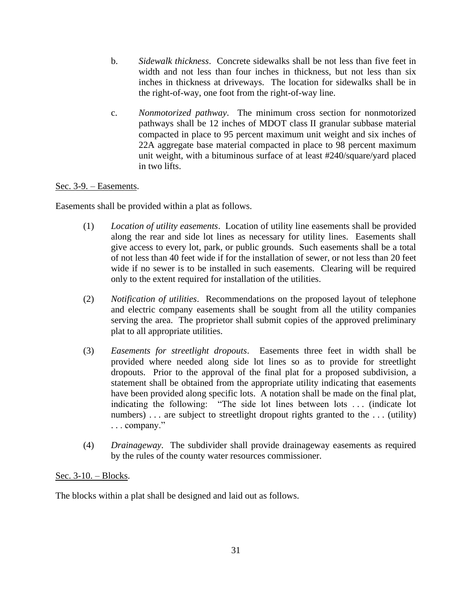- b. *Sidewalk thickness*. Concrete sidewalks shall be not less than five feet in width and not less than four inches in thickness, but not less than six inches in thickness at driveways. The location for sidewalks shall be in the right-of-way, one foot from the right-of-way line.
- c. *Nonmotorized pathway*. The minimum cross section for nonmotorized pathways shall be 12 inches of MDOT class II granular subbase material compacted in place to 95 percent maximum unit weight and six inches of 22A aggregate base material compacted in place to 98 percent maximum unit weight, with a bituminous surface of at least #240/square/yard placed in two lifts.

## Sec. 3-9. – Easements.

Easements shall be provided within a plat as follows.

- (1) *Location of utility easements*. Location of utility line easements shall be provided along the rear and side lot lines as necessary for utility lines. Easements shall give access to every lot, park, or public grounds. Such easements shall be a total of not less than 40 feet wide if for the installation of sewer, or not less than 20 feet wide if no sewer is to be installed in such easements. Clearing will be required only to the extent required for installation of the utilities.
- (2) *Notification of utilities*. Recommendations on the proposed layout of telephone and electric company easements shall be sought from all the utility companies serving the area. The proprietor shall submit copies of the approved preliminary plat to all appropriate utilities.
- (3) *Easements for streetlight dropouts*. Easements three feet in width shall be provided where needed along side lot lines so as to provide for streetlight dropouts. Prior to the approval of the final plat for a proposed subdivision, a statement shall be obtained from the appropriate utility indicating that easements have been provided along specific lots. A notation shall be made on the final plat, indicating the following: "The side lot lines between lots . . . (indicate lot numbers)... are subject to streetlight dropout rights granted to the ... (utility) . . . company."
- (4) *Drainageway*. The subdivider shall provide drainageway easements as required by the rules of the county water resources commissioner.

## Sec. 3-10. – Blocks.

The blocks within a plat shall be designed and laid out as follows.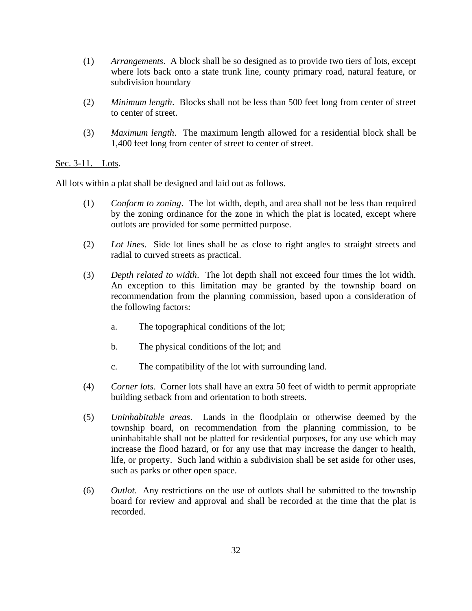- (1) *Arrangements*. A block shall be so designed as to provide two tiers of lots, except where lots back onto a state trunk line, county primary road, natural feature, or subdivision boundary
- (2) *Minimum length*. Blocks shall not be less than 500 feet long from center of street to center of street.
- (3) *Maximum length*. The maximum length allowed for a residential block shall be 1,400 feet long from center of street to center of street.

### Sec. 3-11. – Lots.

All lots within a plat shall be designed and laid out as follows.

- (1) *Conform to zoning*. The lot width, depth, and area shall not be less than required by the zoning ordinance for the zone in which the plat is located, except where outlots are provided for some permitted purpose.
- (2) *Lot lines*. Side lot lines shall be as close to right angles to straight streets and radial to curved streets as practical.
- (3) *Depth related to width*. The lot depth shall not exceed four times the lot width. An exception to this limitation may be granted by the township board on recommendation from the planning commission, based upon a consideration of the following factors:
	- a. The topographical conditions of the lot;
	- b. The physical conditions of the lot; and
	- c. The compatibility of the lot with surrounding land.
- (4) *Corner lots*. Corner lots shall have an extra 50 feet of width to permit appropriate building setback from and orientation to both streets.
- (5) *Uninhabitable areas*. Lands in the floodplain or otherwise deemed by the township board, on recommendation from the planning commission, to be uninhabitable shall not be platted for residential purposes, for any use which may increase the flood hazard, or for any use that may increase the danger to health, life, or property. Such land within a subdivision shall be set aside for other uses, such as parks or other open space.
- (6) *Outlot*. Any restrictions on the use of outlots shall be submitted to the township board for review and approval and shall be recorded at the time that the plat is recorded.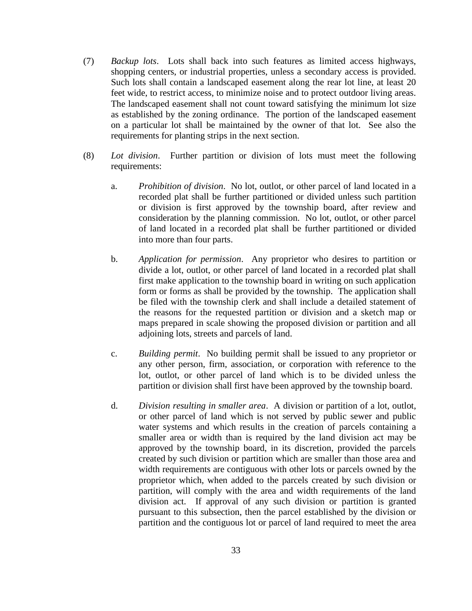- (7) *Backup lots*. Lots shall back into such features as limited access highways, shopping centers, or industrial properties, unless a secondary access is provided. Such lots shall contain a landscaped easement along the rear lot line, at least 20 feet wide, to restrict access, to minimize noise and to protect outdoor living areas. The landscaped easement shall not count toward satisfying the minimum lot size as established by the zoning ordinance. The portion of the landscaped easement on a particular lot shall be maintained by the owner of that lot. See also the requirements for planting strips in the next section.
- (8) *Lot division*. Further partition or division of lots must meet the following requirements:
	- a. *Prohibition of division*. No lot, outlot, or other parcel of land located in a recorded plat shall be further partitioned or divided unless such partition or division is first approved by the township board, after review and consideration by the planning commission. No lot, outlot, or other parcel of land located in a recorded plat shall be further partitioned or divided into more than four parts.
	- b. *Application for permission*. Any proprietor who desires to partition or divide a lot, outlot, or other parcel of land located in a recorded plat shall first make application to the township board in writing on such application form or forms as shall be provided by the township. The application shall be filed with the township clerk and shall include a detailed statement of the reasons for the requested partition or division and a sketch map or maps prepared in scale showing the proposed division or partition and all adjoining lots, streets and parcels of land.
	- c. *Building permit*. No building permit shall be issued to any proprietor or any other person, firm, association, or corporation with reference to the lot, outlot, or other parcel of land which is to be divided unless the partition or division shall first have been approved by the township board.
	- d. *Division resulting in smaller area*. A division or partition of a lot, outlot, or other parcel of land which is not served by public sewer and public water systems and which results in the creation of parcels containing a smaller area or width than is required by the land division act may be approved by the township board, in its discretion, provided the parcels created by such division or partition which are smaller than those area and width requirements are contiguous with other lots or parcels owned by the proprietor which, when added to the parcels created by such division or partition, will comply with the area and width requirements of the land division act. If approval of any such division or partition is granted pursuant to this subsection, then the parcel established by the division or partition and the contiguous lot or parcel of land required to meet the area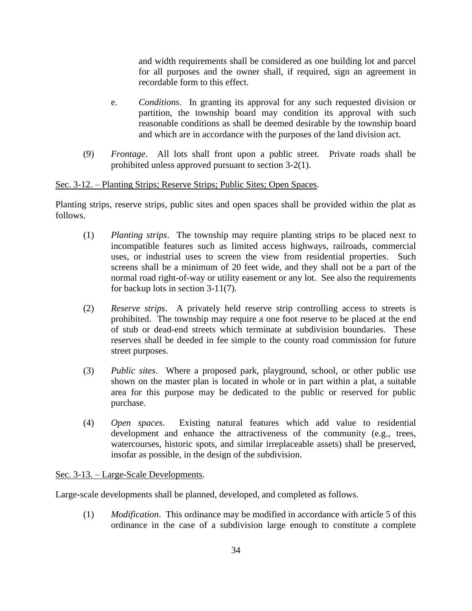and width requirements shall be considered as one building lot and parcel for all purposes and the owner shall, if required, sign an agreement in recordable form to this effect.

- e. *Conditions*. In granting its approval for any such requested division or partition, the township board may condition its approval with such reasonable conditions as shall be deemed desirable by the township board and which are in accordance with the purposes of the land division act.
- (9) *Frontage*. All lots shall front upon a public street. Private roads shall be prohibited unless approved pursuant to section 3-2(1).

### Sec. 3-12. – Planting Strips; Reserve Strips; Public Sites; Open Spaces.

Planting strips, reserve strips, public sites and open spaces shall be provided within the plat as follows.

- (1) *Planting strips*. The township may require planting strips to be placed next to incompatible features such as limited access highways, railroads, commercial uses, or industrial uses to screen the view from residential properties. Such screens shall be a minimum of 20 feet wide, and they shall not be a part of the normal road right-of-way or utility easement or any lot. See also the requirements for backup lots in section 3-11(7).
- (2) *Reserve strips*. A privately held reserve strip controlling access to streets is prohibited. The township may require a one foot reserve to be placed at the end of stub or dead-end streets which terminate at subdivision boundaries. These reserves shall be deeded in fee simple to the county road commission for future street purposes.
- (3) *Public sites*. Where a proposed park, playground, school, or other public use shown on the master plan is located in whole or in part within a plat, a suitable area for this purpose may be dedicated to the public or reserved for public purchase.
- (4) *Open spaces*. Existing natural features which add value to residential development and enhance the attractiveness of the community (e.g., trees, watercourses, historic spots, and similar irreplaceable assets) shall be preserved, insofar as possible, in the design of the subdivision.

#### Sec. 3-13. – Large-Scale Developments.

Large-scale developments shall be planned, developed, and completed as follows.

(1) *Modification*. This ordinance may be modified in accordance with article 5 of this ordinance in the case of a subdivision large enough to constitute a complete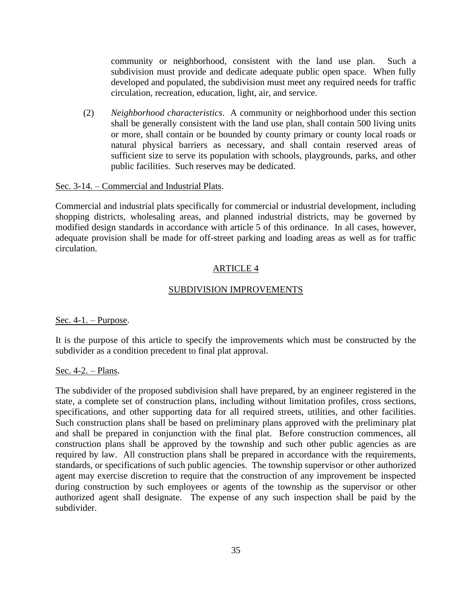community or neighborhood, consistent with the land use plan. Such a subdivision must provide and dedicate adequate public open space. When fully developed and populated, the subdivision must meet any required needs for traffic circulation, recreation, education, light, air, and service.

(2) *Neighborhood characteristics*. A community or neighborhood under this section shall be generally consistent with the land use plan, shall contain 500 living units or more, shall contain or be bounded by county primary or county local roads or natural physical barriers as necessary, and shall contain reserved areas of sufficient size to serve its population with schools, playgrounds, parks, and other public facilities. Such reserves may be dedicated.

#### Sec. 3-14. – Commercial and Industrial Plats.

Commercial and industrial plats specifically for commercial or industrial development, including shopping districts, wholesaling areas, and planned industrial districts, may be governed by modified design standards in accordance with article 5 of this ordinance. In all cases, however, adequate provision shall be made for off-street parking and loading areas as well as for traffic circulation.

### ARTICLE 4

#### SUBDIVISION IMPROVEMENTS

#### Sec.  $4-1$ . – Purpose.

It is the purpose of this article to specify the improvements which must be constructed by the subdivider as a condition precedent to final plat approval.

#### Sec. 4-2. – Plans.

The subdivider of the proposed subdivision shall have prepared, by an engineer registered in the state, a complete set of construction plans, including without limitation profiles, cross sections, specifications, and other supporting data for all required streets, utilities, and other facilities. Such construction plans shall be based on preliminary plans approved with the preliminary plat and shall be prepared in conjunction with the final plat. Before construction commences, all construction plans shall be approved by the township and such other public agencies as are required by law. All construction plans shall be prepared in accordance with the requirements, standards, or specifications of such public agencies. The township supervisor or other authorized agent may exercise discretion to require that the construction of any improvement be inspected during construction by such employees or agents of the township as the supervisor or other authorized agent shall designate. The expense of any such inspection shall be paid by the subdivider.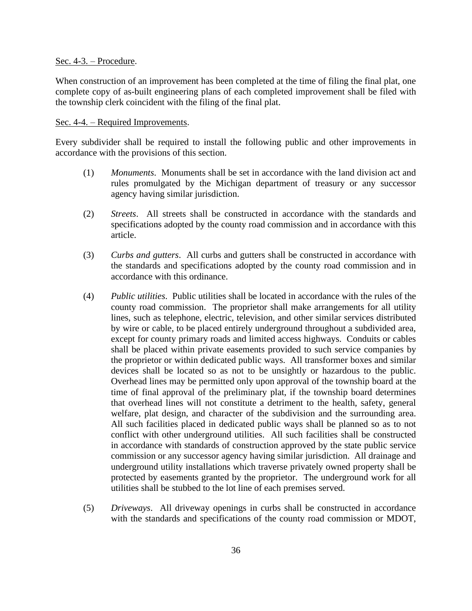#### Sec. 4-3. – Procedure.

When construction of an improvement has been completed at the time of filing the final plat, one complete copy of as-built engineering plans of each completed improvement shall be filed with the township clerk coincident with the filing of the final plat.

#### Sec. 4-4. – Required Improvements.

Every subdivider shall be required to install the following public and other improvements in accordance with the provisions of this section.

- (1) *Monuments*. Monuments shall be set in accordance with the land division act and rules promulgated by the Michigan department of treasury or any successor agency having similar jurisdiction.
- (2) *Streets*. All streets shall be constructed in accordance with the standards and specifications adopted by the county road commission and in accordance with this article.
- (3) *Curbs and gutters*. All curbs and gutters shall be constructed in accordance with the standards and specifications adopted by the county road commission and in accordance with this ordinance.
- (4) *Public utilities*. Public utilities shall be located in accordance with the rules of the county road commission. The proprietor shall make arrangements for all utility lines, such as telephone, electric, television, and other similar services distributed by wire or cable, to be placed entirely underground throughout a subdivided area, except for county primary roads and limited access highways. Conduits or cables shall be placed within private easements provided to such service companies by the proprietor or within dedicated public ways. All transformer boxes and similar devices shall be located so as not to be unsightly or hazardous to the public. Overhead lines may be permitted only upon approval of the township board at the time of final approval of the preliminary plat, if the township board determines that overhead lines will not constitute a detriment to the health, safety, general welfare, plat design, and character of the subdivision and the surrounding area. All such facilities placed in dedicated public ways shall be planned so as to not conflict with other underground utilities. All such facilities shall be constructed in accordance with standards of construction approved by the state public service commission or any successor agency having similar jurisdiction. All drainage and underground utility installations which traverse privately owned property shall be protected by easements granted by the proprietor. The underground work for all utilities shall be stubbed to the lot line of each premises served.
- (5) *Driveways*. All driveway openings in curbs shall be constructed in accordance with the standards and specifications of the county road commission or MDOT,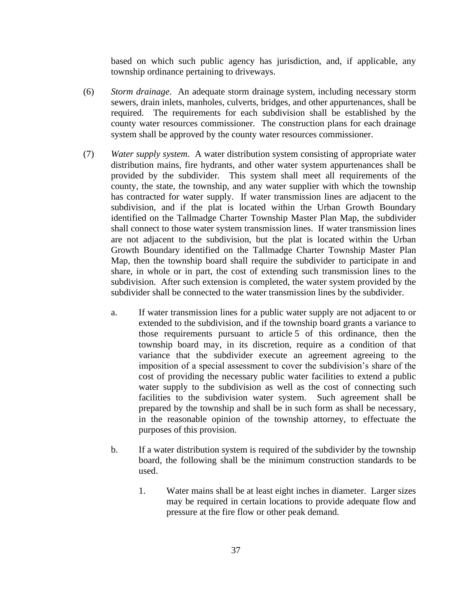based on which such public agency has jurisdiction, and, if applicable, any township ordinance pertaining to driveways.

- (6) *Storm drainage*. An adequate storm drainage system, including necessary storm sewers, drain inlets, manholes, culverts, bridges, and other appurtenances, shall be required. The requirements for each subdivision shall be established by the county water resources commissioner. The construction plans for each drainage system shall be approved by the county water resources commissioner.
- (7) *Water supply system*. A water distribution system consisting of appropriate water distribution mains, fire hydrants, and other water system appurtenances shall be provided by the subdivider. This system shall meet all requirements of the county, the state, the township, and any water supplier with which the township has contracted for water supply. If water transmission lines are adjacent to the subdivision, and if the plat is located within the Urban Growth Boundary identified on the Tallmadge Charter Township Master Plan Map, the subdivider shall connect to those water system transmission lines. If water transmission lines are not adjacent to the subdivision, but the plat is located within the Urban Growth Boundary identified on the Tallmadge Charter Township Master Plan Map, then the township board shall require the subdivider to participate in and share, in whole or in part, the cost of extending such transmission lines to the subdivision. After such extension is completed, the water system provided by the subdivider shall be connected to the water transmission lines by the subdivider.
	- a. If water transmission lines for a public water supply are not adjacent to or extended to the subdivision, and if the township board grants a variance to those requirements pursuant to article 5 of this ordinance, then the township board may, in its discretion, require as a condition of that variance that the subdivider execute an agreement agreeing to the imposition of a special assessment to cover the subdivision's share of the cost of providing the necessary public water facilities to extend a public water supply to the subdivision as well as the cost of connecting such facilities to the subdivision water system. Such agreement shall be prepared by the township and shall be in such form as shall be necessary, in the reasonable opinion of the township attorney, to effectuate the purposes of this provision.
	- b. If a water distribution system is required of the subdivider by the township board, the following shall be the minimum construction standards to be used.
		- 1. Water mains shall be at least eight inches in diameter. Larger sizes may be required in certain locations to provide adequate flow and pressure at the fire flow or other peak demand.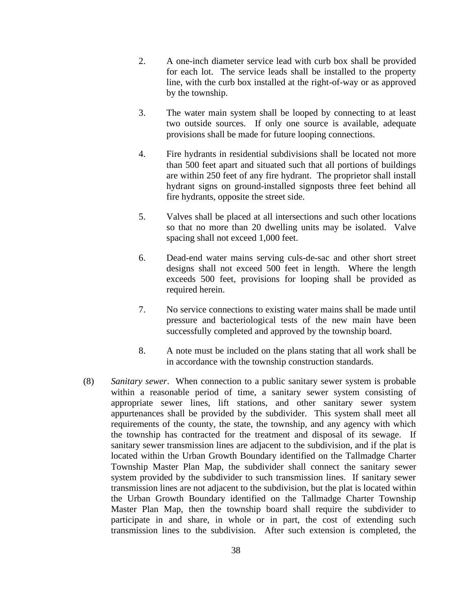- 2. A one-inch diameter service lead with curb box shall be provided for each lot. The service leads shall be installed to the property line, with the curb box installed at the right-of-way or as approved by the township.
- 3. The water main system shall be looped by connecting to at least two outside sources. If only one source is available, adequate provisions shall be made for future looping connections.
- 4. Fire hydrants in residential subdivisions shall be located not more than 500 feet apart and situated such that all portions of buildings are within 250 feet of any fire hydrant. The proprietor shall install hydrant signs on ground-installed signposts three feet behind all fire hydrants, opposite the street side.
- 5. Valves shall be placed at all intersections and such other locations so that no more than 20 dwelling units may be isolated. Valve spacing shall not exceed 1,000 feet.
- 6. Dead-end water mains serving culs-de-sac and other short street designs shall not exceed 500 feet in length. Where the length exceeds 500 feet, provisions for looping shall be provided as required herein.
- 7. No service connections to existing water mains shall be made until pressure and bacteriological tests of the new main have been successfully completed and approved by the township board.
- 8. A note must be included on the plans stating that all work shall be in accordance with the township construction standards.
- (8) *Sanitary sewer*. When connection to a public sanitary sewer system is probable within a reasonable period of time, a sanitary sewer system consisting of appropriate sewer lines, lift stations, and other sanitary sewer system appurtenances shall be provided by the subdivider. This system shall meet all requirements of the county, the state, the township, and any agency with which the township has contracted for the treatment and disposal of its sewage. If sanitary sewer transmission lines are adjacent to the subdivision, and if the plat is located within the Urban Growth Boundary identified on the Tallmadge Charter Township Master Plan Map, the subdivider shall connect the sanitary sewer system provided by the subdivider to such transmission lines. If sanitary sewer transmission lines are not adjacent to the subdivision, but the plat is located within the Urban Growth Boundary identified on the Tallmadge Charter Township Master Plan Map, then the township board shall require the subdivider to participate in and share, in whole or in part, the cost of extending such transmission lines to the subdivision. After such extension is completed, the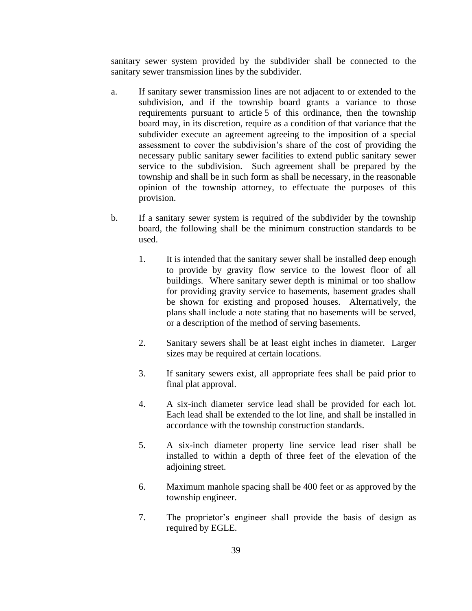sanitary sewer system provided by the subdivider shall be connected to the sanitary sewer transmission lines by the subdivider.

- a. If sanitary sewer transmission lines are not adjacent to or extended to the subdivision, and if the township board grants a variance to those requirements pursuant to article 5 of this ordinance, then the township board may, in its discretion, require as a condition of that variance that the subdivider execute an agreement agreeing to the imposition of a special assessment to cover the subdivision's share of the cost of providing the necessary public sanitary sewer facilities to extend public sanitary sewer service to the subdivision. Such agreement shall be prepared by the township and shall be in such form as shall be necessary, in the reasonable opinion of the township attorney, to effectuate the purposes of this provision.
- b. If a sanitary sewer system is required of the subdivider by the township board, the following shall be the minimum construction standards to be used.
	- 1. It is intended that the sanitary sewer shall be installed deep enough to provide by gravity flow service to the lowest floor of all buildings. Where sanitary sewer depth is minimal or too shallow for providing gravity service to basements, basement grades shall be shown for existing and proposed houses. Alternatively, the plans shall include a note stating that no basements will be served, or a description of the method of serving basements.
	- 2. Sanitary sewers shall be at least eight inches in diameter. Larger sizes may be required at certain locations.
	- 3. If sanitary sewers exist, all appropriate fees shall be paid prior to final plat approval.
	- 4. A six-inch diameter service lead shall be provided for each lot. Each lead shall be extended to the lot line, and shall be installed in accordance with the township construction standards.
	- 5. A six-inch diameter property line service lead riser shall be installed to within a depth of three feet of the elevation of the adjoining street.
	- 6. Maximum manhole spacing shall be 400 feet or as approved by the township engineer.
	- 7. The proprietor's engineer shall provide the basis of design as required by EGLE.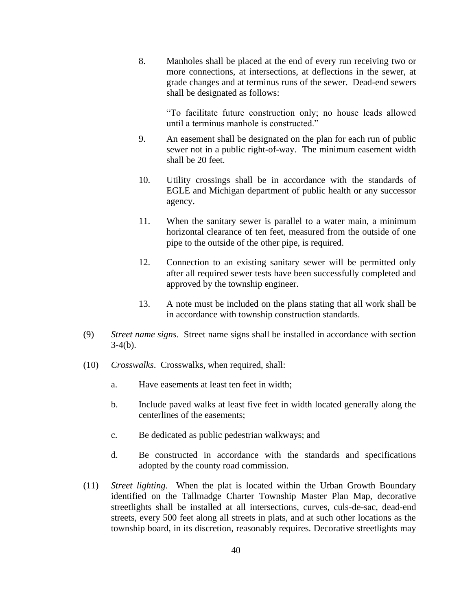8. Manholes shall be placed at the end of every run receiving two or more connections, at intersections, at deflections in the sewer, at grade changes and at terminus runs of the sewer. Dead-end sewers shall be designated as follows:

"To facilitate future construction only; no house leads allowed until a terminus manhole is constructed."

- 9. An easement shall be designated on the plan for each run of public sewer not in a public right-of-way. The minimum easement width shall be 20 feet.
- 10. Utility crossings shall be in accordance with the standards of EGLE and Michigan department of public health or any successor agency.
- 11. When the sanitary sewer is parallel to a water main, a minimum horizontal clearance of ten feet, measured from the outside of one pipe to the outside of the other pipe, is required.
- 12. Connection to an existing sanitary sewer will be permitted only after all required sewer tests have been successfully completed and approved by the township engineer.
- 13. A note must be included on the plans stating that all work shall be in accordance with township construction standards.
- (9) *Street name signs*. Street name signs shall be installed in accordance with section  $3-4(b)$ .
- (10) *Crosswalks*. Crosswalks, when required, shall:
	- a. Have easements at least ten feet in width;
	- b. Include paved walks at least five feet in width located generally along the centerlines of the easements;
	- c. Be dedicated as public pedestrian walkways; and
	- d. Be constructed in accordance with the standards and specifications adopted by the county road commission.
- (11) *Street lighting*. When the plat is located within the Urban Growth Boundary identified on the Tallmadge Charter Township Master Plan Map, decorative streetlights shall be installed at all intersections, curves, culs-de-sac, dead-end streets, every 500 feet along all streets in plats, and at such other locations as the township board, in its discretion, reasonably requires. Decorative streetlights may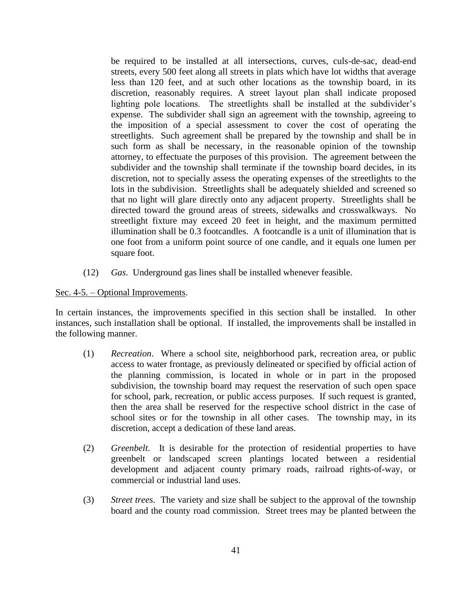be required to be installed at all intersections, curves, culs-de-sac, dead-end streets, every 500 feet along all streets in plats which have lot widths that average less than 120 feet, and at such other locations as the township board, in its discretion, reasonably requires. A street layout plan shall indicate proposed lighting pole locations. The streetlights shall be installed at the subdivider's expense. The subdivider shall sign an agreement with the township, agreeing to the imposition of a special assessment to cover the cost of operating the streetlights. Such agreement shall be prepared by the township and shall be in such form as shall be necessary, in the reasonable opinion of the township attorney, to effectuate the purposes of this provision. The agreement between the subdivider and the township shall terminate if the township board decides, in its discretion, not to specially assess the operating expenses of the streetlights to the lots in the subdivision. Streetlights shall be adequately shielded and screened so that no light will glare directly onto any adjacent property. Streetlights shall be directed toward the ground areas of streets, sidewalks and crosswalkways. No streetlight fixture may exceed 20 feet in height, and the maximum permitted illumination shall be 0.3 footcandles. A footcandle is a unit of illumination that is one foot from a uniform point source of one candle, and it equals one lumen per square foot.

(12) *Gas*. Underground gas lines shall be installed whenever feasible.

### Sec. 4-5. – Optional Improvements.

In certain instances, the improvements specified in this section shall be installed. In other instances, such installation shall be optional. If installed, the improvements shall be installed in the following manner.

- (1) *Recreation*. Where a school site, neighborhood park, recreation area, or public access to water frontage, as previously delineated or specified by official action of the planning commission, is located in whole or in part in the proposed subdivision, the township board may request the reservation of such open space for school, park, recreation, or public access purposes. If such request is granted, then the area shall be reserved for the respective school district in the case of school sites or for the township in all other cases. The township may, in its discretion, accept a dedication of these land areas.
- (2) *Greenbelt*. It is desirable for the protection of residential properties to have greenbelt or landscaped screen plantings located between a residential development and adjacent county primary roads, railroad rights-of-way, or commercial or industrial land uses.
- (3) *Street trees*. The variety and size shall be subject to the approval of the township board and the county road commission. Street trees may be planted between the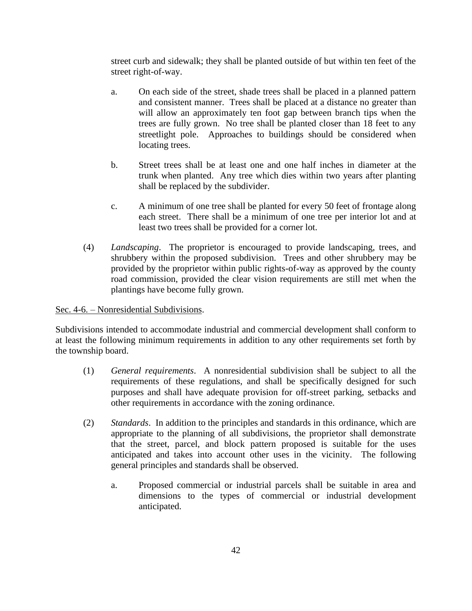street curb and sidewalk; they shall be planted outside of but within ten feet of the street right-of-way.

- a. On each side of the street, shade trees shall be placed in a planned pattern and consistent manner. Trees shall be placed at a distance no greater than will allow an approximately ten foot gap between branch tips when the trees are fully grown. No tree shall be planted closer than 18 feet to any streetlight pole. Approaches to buildings should be considered when locating trees.
- b. Street trees shall be at least one and one half inches in diameter at the trunk when planted. Any tree which dies within two years after planting shall be replaced by the subdivider.
- c. A minimum of one tree shall be planted for every 50 feet of frontage along each street. There shall be a minimum of one tree per interior lot and at least two trees shall be provided for a corner lot.
- (4) *Landscaping*. The proprietor is encouraged to provide landscaping, trees, and shrubbery within the proposed subdivision. Trees and other shrubbery may be provided by the proprietor within public rights-of-way as approved by the county road commission, provided the clear vision requirements are still met when the plantings have become fully grown.

## Sec. 4-6. – Nonresidential Subdivisions.

Subdivisions intended to accommodate industrial and commercial development shall conform to at least the following minimum requirements in addition to any other requirements set forth by the township board.

- (1) *General requirements*. A nonresidential subdivision shall be subject to all the requirements of these regulations, and shall be specifically designed for such purposes and shall have adequate provision for off-street parking, setbacks and other requirements in accordance with the zoning ordinance.
- (2) *Standards*. In addition to the principles and standards in this ordinance, which are appropriate to the planning of all subdivisions, the proprietor shall demonstrate that the street, parcel, and block pattern proposed is suitable for the uses anticipated and takes into account other uses in the vicinity. The following general principles and standards shall be observed.
	- a. Proposed commercial or industrial parcels shall be suitable in area and dimensions to the types of commercial or industrial development anticipated.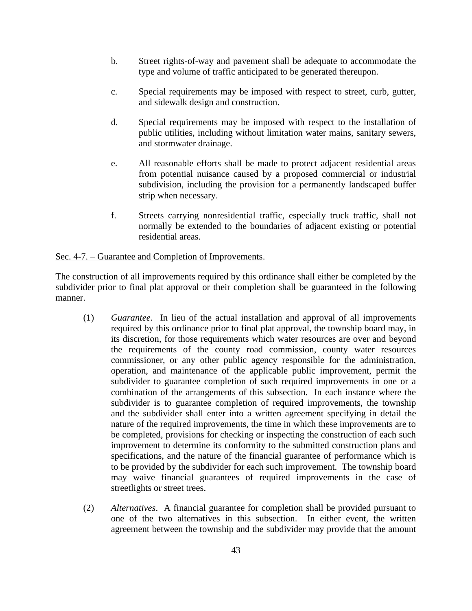- b. Street rights-of-way and pavement shall be adequate to accommodate the type and volume of traffic anticipated to be generated thereupon.
- c. Special requirements may be imposed with respect to street, curb, gutter, and sidewalk design and construction.
- d. Special requirements may be imposed with respect to the installation of public utilities, including without limitation water mains, sanitary sewers, and stormwater drainage.
- e. All reasonable efforts shall be made to protect adjacent residential areas from potential nuisance caused by a proposed commercial or industrial subdivision, including the provision for a permanently landscaped buffer strip when necessary.
- f. Streets carrying nonresidential traffic, especially truck traffic, shall not normally be extended to the boundaries of adjacent existing or potential residential areas.

### Sec. 4-7. – Guarantee and Completion of Improvements.

The construction of all improvements required by this ordinance shall either be completed by the subdivider prior to final plat approval or their completion shall be guaranteed in the following manner.

- (1) *Guarantee*. In lieu of the actual installation and approval of all improvements required by this ordinance prior to final plat approval, the township board may, in its discretion, for those requirements which water resources are over and beyond the requirements of the county road commission, county water resources commissioner, or any other public agency responsible for the administration, operation, and maintenance of the applicable public improvement, permit the subdivider to guarantee completion of such required improvements in one or a combination of the arrangements of this subsection. In each instance where the subdivider is to guarantee completion of required improvements, the township and the subdivider shall enter into a written agreement specifying in detail the nature of the required improvements, the time in which these improvements are to be completed, provisions for checking or inspecting the construction of each such improvement to determine its conformity to the submitted construction plans and specifications, and the nature of the financial guarantee of performance which is to be provided by the subdivider for each such improvement. The township board may waive financial guarantees of required improvements in the case of streetlights or street trees.
- (2) *Alternatives*. A financial guarantee for completion shall be provided pursuant to one of the two alternatives in this subsection. In either event, the written agreement between the township and the subdivider may provide that the amount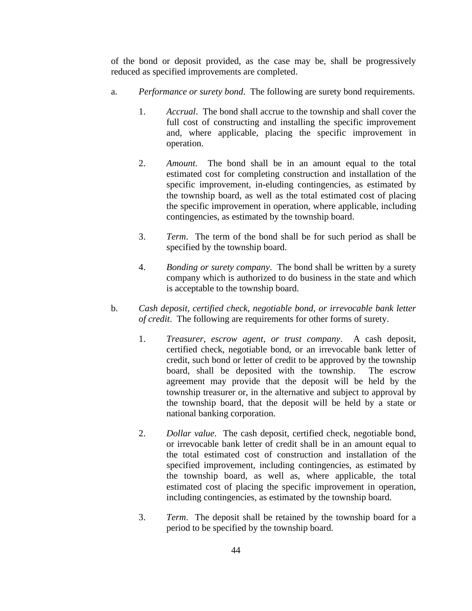of the bond or deposit provided, as the case may be, shall be progressively reduced as specified improvements are completed.

- a. *Performance or surety bond*. The following are surety bond requirements.
	- 1. *Accrual*. The bond shall accrue to the township and shall cover the full cost of constructing and installing the specific improvement and, where applicable, placing the specific improvement in operation.
	- 2. *Amount*. The bond shall be in an amount equal to the total estimated cost for completing construction and installation of the specific improvement, in-eluding contingencies, as estimated by the township board, as well as the total estimated cost of placing the specific improvement in operation, where applicable, including contingencies, as estimated by the township board.
	- 3. *Term*. The term of the bond shall be for such period as shall be specified by the township board.
	- 4. *Bonding or surety company*. The bond shall be written by a surety company which is authorized to do business in the state and which is acceptable to the township board.
- b. *Cash deposit, certified check, negotiable bond, or irrevocable bank letter of credit*. The following are requirements for other forms of surety.
	- 1. *Treasurer, escrow agent, or trust company*. A cash deposit, certified check, negotiable bond, or an irrevocable bank letter of credit, such bond or letter of credit to be approved by the township board, shall be deposited with the township. The escrow agreement may provide that the deposit will be held by the township treasurer or, in the alternative and subject to approval by the township board, that the deposit will be held by a state or national banking corporation.
	- 2. *Dollar value*. The cash deposit, certified check, negotiable bond, or irrevocable bank letter of credit shall be in an amount equal to the total estimated cost of construction and installation of the specified improvement, including contingencies, as estimated by the township board, as well as, where applicable, the total estimated cost of placing the specific improvement in operation, including contingencies, as estimated by the township board.
	- 3. *Term*. The deposit shall be retained by the township board for a period to be specified by the township board.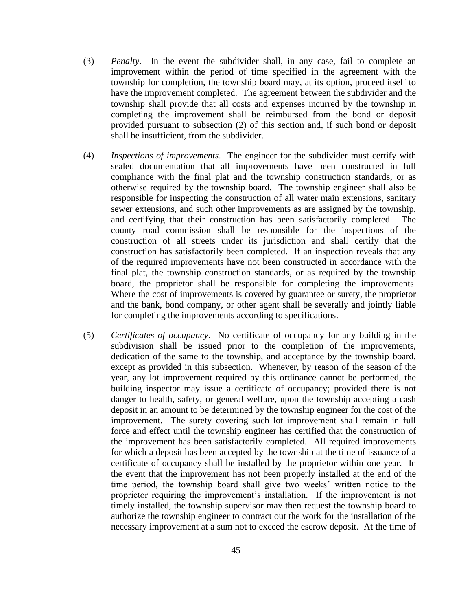- (3) *Penalty*. In the event the subdivider shall, in any case, fail to complete an improvement within the period of time specified in the agreement with the township for completion, the township board may, at its option, proceed itself to have the improvement completed. The agreement between the subdivider and the township shall provide that all costs and expenses incurred by the township in completing the improvement shall be reimbursed from the bond or deposit provided pursuant to subsection (2) of this section and, if such bond or deposit shall be insufficient, from the subdivider.
- (4) *Inspections of improvements*. The engineer for the subdivider must certify with sealed documentation that all improvements have been constructed in full compliance with the final plat and the township construction standards, or as otherwise required by the township board. The township engineer shall also be responsible for inspecting the construction of all water main extensions, sanitary sewer extensions, and such other improvements as are assigned by the township, and certifying that their construction has been satisfactorily completed. The county road commission shall be responsible for the inspections of the construction of all streets under its jurisdiction and shall certify that the construction has satisfactorily been completed. If an inspection reveals that any of the required improvements have not been constructed in accordance with the final plat, the township construction standards, or as required by the township board, the proprietor shall be responsible for completing the improvements. Where the cost of improvements is covered by guarantee or surety, the proprietor and the bank, bond company, or other agent shall be severally and jointly liable for completing the improvements according to specifications.
- (5) *Certificates of occupancy*. No certificate of occupancy for any building in the subdivision shall be issued prior to the completion of the improvements, dedication of the same to the township, and acceptance by the township board, except as provided in this subsection. Whenever, by reason of the season of the year, any lot improvement required by this ordinance cannot be performed, the building inspector may issue a certificate of occupancy; provided there is not danger to health, safety, or general welfare, upon the township accepting a cash deposit in an amount to be determined by the township engineer for the cost of the improvement. The surety covering such lot improvement shall remain in full force and effect until the township engineer has certified that the construction of the improvement has been satisfactorily completed. All required improvements for which a deposit has been accepted by the township at the time of issuance of a certificate of occupancy shall be installed by the proprietor within one year. In the event that the improvement has not been properly installed at the end of the time period, the township board shall give two weeks' written notice to the proprietor requiring the improvement's installation. If the improvement is not timely installed, the township supervisor may then request the township board to authorize the township engineer to contract out the work for the installation of the necessary improvement at a sum not to exceed the escrow deposit. At the time of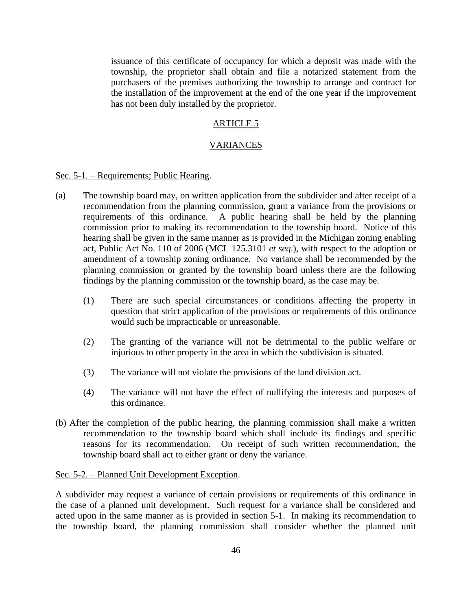issuance of this certificate of occupancy for which a deposit was made with the township, the proprietor shall obtain and file a notarized statement from the purchasers of the premises authorizing the township to arrange and contract for the installation of the improvement at the end of the one year if the improvement has not been duly installed by the proprietor.

#### ARTICLE 5

#### VARIANCES

Sec. 5-1. – Requirements; Public Hearing.

- (a) The township board may, on written application from the subdivider and after receipt of a recommendation from the planning commission, grant a variance from the provisions or requirements of this ordinance. A public hearing shall be held by the planning commission prior to making its recommendation to the township board. Notice of this hearing shall be given in the same manner as is provided in the Michigan zoning enabling act, Public Act No. 110 of 2006 (MCL 125.3101 *et seq*.), with respect to the adoption or amendment of a township zoning ordinance. No variance shall be recommended by the planning commission or granted by the township board unless there are the following findings by the planning commission or the township board, as the case may be.
	- (1) There are such special circumstances or conditions affecting the property in question that strict application of the provisions or requirements of this ordinance would such be impracticable or unreasonable.
	- (2) The granting of the variance will not be detrimental to the public welfare or injurious to other property in the area in which the subdivision is situated.
	- (3) The variance will not violate the provisions of the land division act.
	- (4) The variance will not have the effect of nullifying the interests and purposes of this ordinance.
- (b) After the completion of the public hearing, the planning commission shall make a written recommendation to the township board which shall include its findings and specific reasons for its recommendation. On receipt of such written recommendation, the township board shall act to either grant or deny the variance.

#### Sec. 5-2. – Planned Unit Development Exception.

A subdivider may request a variance of certain provisions or requirements of this ordinance in the case of a planned unit development. Such request for a variance shall be considered and acted upon in the same manner as is provided in section 5-1. In making its recommendation to the township board, the planning commission shall consider whether the planned unit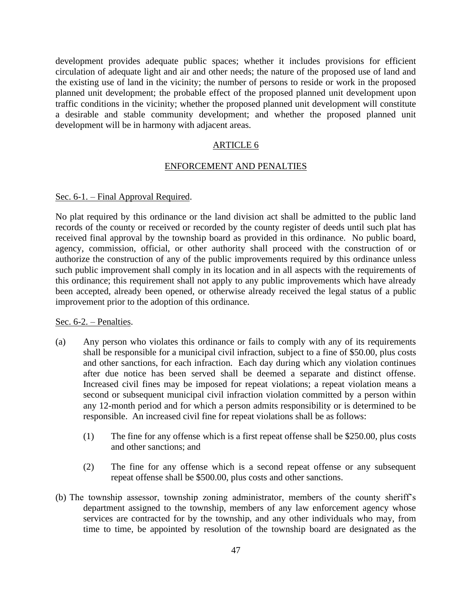development provides adequate public spaces; whether it includes provisions for efficient circulation of adequate light and air and other needs; the nature of the proposed use of land and the existing use of land in the vicinity; the number of persons to reside or work in the proposed planned unit development; the probable effect of the proposed planned unit development upon traffic conditions in the vicinity; whether the proposed planned unit development will constitute a desirable and stable community development; and whether the proposed planned unit development will be in harmony with adjacent areas.

#### ARTICLE 6

#### ENFORCEMENT AND PENALTIES

#### Sec. 6-1. – Final Approval Required.

No plat required by this ordinance or the land division act shall be admitted to the public land records of the county or received or recorded by the county register of deeds until such plat has received final approval by the township board as provided in this ordinance. No public board, agency, commission, official, or other authority shall proceed with the construction of or authorize the construction of any of the public improvements required by this ordinance unless such public improvement shall comply in its location and in all aspects with the requirements of this ordinance; this requirement shall not apply to any public improvements which have already been accepted, already been opened, or otherwise already received the legal status of a public improvement prior to the adoption of this ordinance.

#### Sec. 6-2. – Penalties.

- (a) Any person who violates this ordinance or fails to comply with any of its requirements shall be responsible for a municipal civil infraction, subject to a fine of \$50.00, plus costs and other sanctions, for each infraction. Each day during which any violation continues after due notice has been served shall be deemed a separate and distinct offense. Increased civil fines may be imposed for repeat violations; a repeat violation means a second or subsequent municipal civil infraction violation committed by a person within any 12-month period and for which a person admits responsibility or is determined to be responsible. An increased civil fine for repeat violations shall be as follows:
	- (1) The fine for any offense which is a first repeat offense shall be \$250.00, plus costs and other sanctions; and
	- (2) The fine for any offense which is a second repeat offense or any subsequent repeat offense shall be \$500.00, plus costs and other sanctions.
- (b) The township assessor, township zoning administrator, members of the county sheriff's department assigned to the township, members of any law enforcement agency whose services are contracted for by the township, and any other individuals who may, from time to time, be appointed by resolution of the township board are designated as the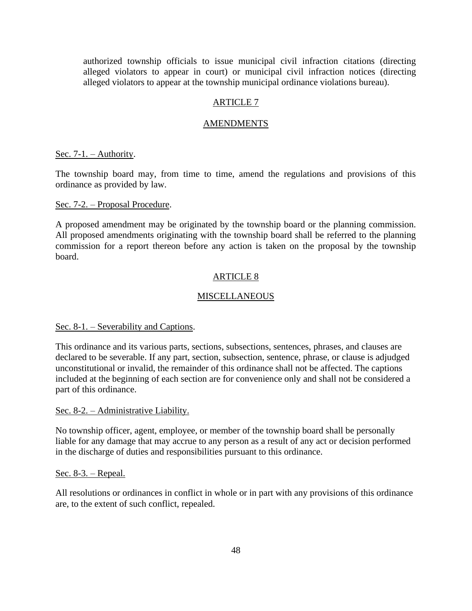authorized township officials to issue municipal civil infraction citations (directing alleged violators to appear in court) or municipal civil infraction notices (directing alleged violators to appear at the township municipal ordinance violations bureau).

## ARTICLE 7

#### AMENDMENTS

Sec. 7-1. – Authority.

The township board may, from time to time, amend the regulations and provisions of this ordinance as provided by law.

#### Sec. 7-2. – Proposal Procedure.

A proposed amendment may be originated by the township board or the planning commission. All proposed amendments originating with the township board shall be referred to the planning commission for a report thereon before any action is taken on the proposal by the township board.

#### ARTICLE 8

#### **MISCELLANEOUS**

#### Sec. 8-1. – Severability and Captions.

This ordinance and its various parts, sections, subsections, sentences, phrases, and clauses are declared to be severable. If any part, section, subsection, sentence, phrase, or clause is adjudged unconstitutional or invalid, the remainder of this ordinance shall not be affected. The captions included at the beginning of each section are for convenience only and shall not be considered a part of this ordinance.

#### Sec. 8-2. – Administrative Liability.

No township officer, agent, employee, or member of the township board shall be personally liable for any damage that may accrue to any person as a result of any act or decision performed in the discharge of duties and responsibilities pursuant to this ordinance.

#### Sec. 8-3. – Repeal.

All resolutions or ordinances in conflict in whole or in part with any provisions of this ordinance are, to the extent of such conflict, repealed.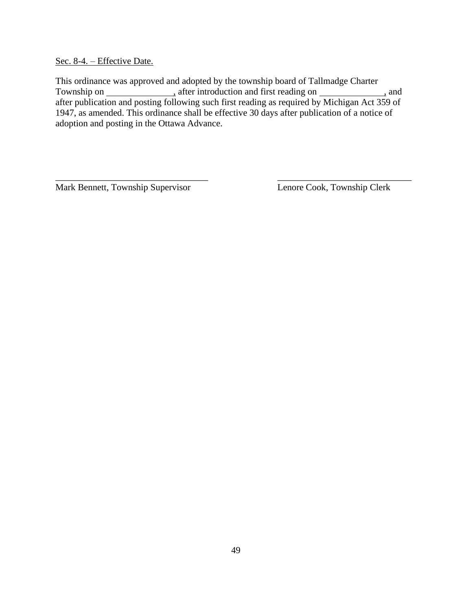Sec. 8-4. – Effective Date.

This ordinance was approved and adopted by the township board of Tallmadge Charter Township on \_\_\_\_\_\_\_\_\_\_\_\_\_\_\_\_\_\_\_\_, after introduction and first reading on \_\_\_\_\_\_\_\_\_\_\_\_\_\_\_\_, and after publication and posting following such first reading as required by Michigan Act 359 of 1947, as amended. This ordinance shall be effective 30 days after publication of a notice of adoption and posting in the Ottawa Advance.

\_\_\_\_\_\_\_\_\_\_\_\_\_\_\_\_\_\_\_\_\_\_\_\_\_\_\_\_\_\_\_\_\_ \_\_\_\_\_\_\_\_\_\_\_\_\_\_\_\_\_\_\_\_\_\_\_\_\_\_\_\_\_

Mark Bennett, Township Supervisor Lenore Cook, Township Clerk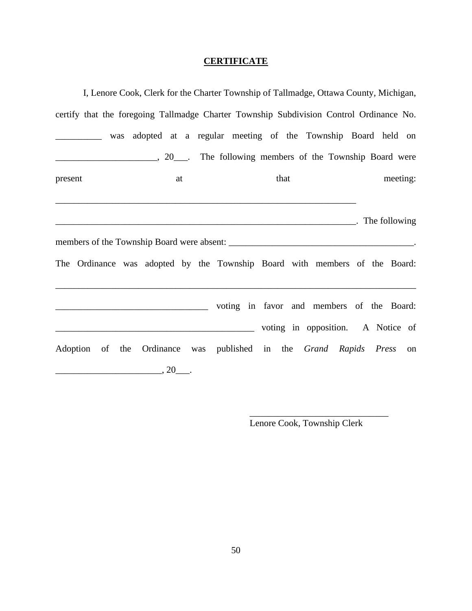# **CERTIFICATE**

| I, Lenore Cook, Clerk for the Charter Township of Tallmadge, Ottawa County, Michigan, |                                   |  |      |                                                                                         |  |
|---------------------------------------------------------------------------------------|-----------------------------------|--|------|-----------------------------------------------------------------------------------------|--|
|                                                                                       |                                   |  |      | certify that the foregoing Tallmadge Charter Township Subdivision Control Ordinance No. |  |
|                                                                                       |                                   |  |      | was adopted at a regular meeting of the Township Board held on                          |  |
|                                                                                       |                                   |  |      | 20 <sub>1</sub> The following members of the Township Board were                        |  |
| present                                                                               | at                                |  | that | meeting:                                                                                |  |
|                                                                                       |                                   |  |      |                                                                                         |  |
|                                                                                       |                                   |  |      | <b>Note:</b> The following                                                              |  |
|                                                                                       |                                   |  |      |                                                                                         |  |
|                                                                                       |                                   |  |      | The Ordinance was adopted by the Township Board with members of the Board:              |  |
|                                                                                       |                                   |  |      |                                                                                         |  |
|                                                                                       |                                   |  |      | voting in opposition. A Notice of                                                       |  |
|                                                                                       |                                   |  |      | Adoption of the Ordinance was published in the Grand Rapids Press on                    |  |
|                                                                                       | $\overbrace{\hspace{2.5cm}}^{20}$ |  |      |                                                                                         |  |

Lenore Cook, Township Clerk

\_\_\_\_\_\_\_\_\_\_\_\_\_\_\_\_\_\_\_\_\_\_\_\_\_\_\_\_\_\_